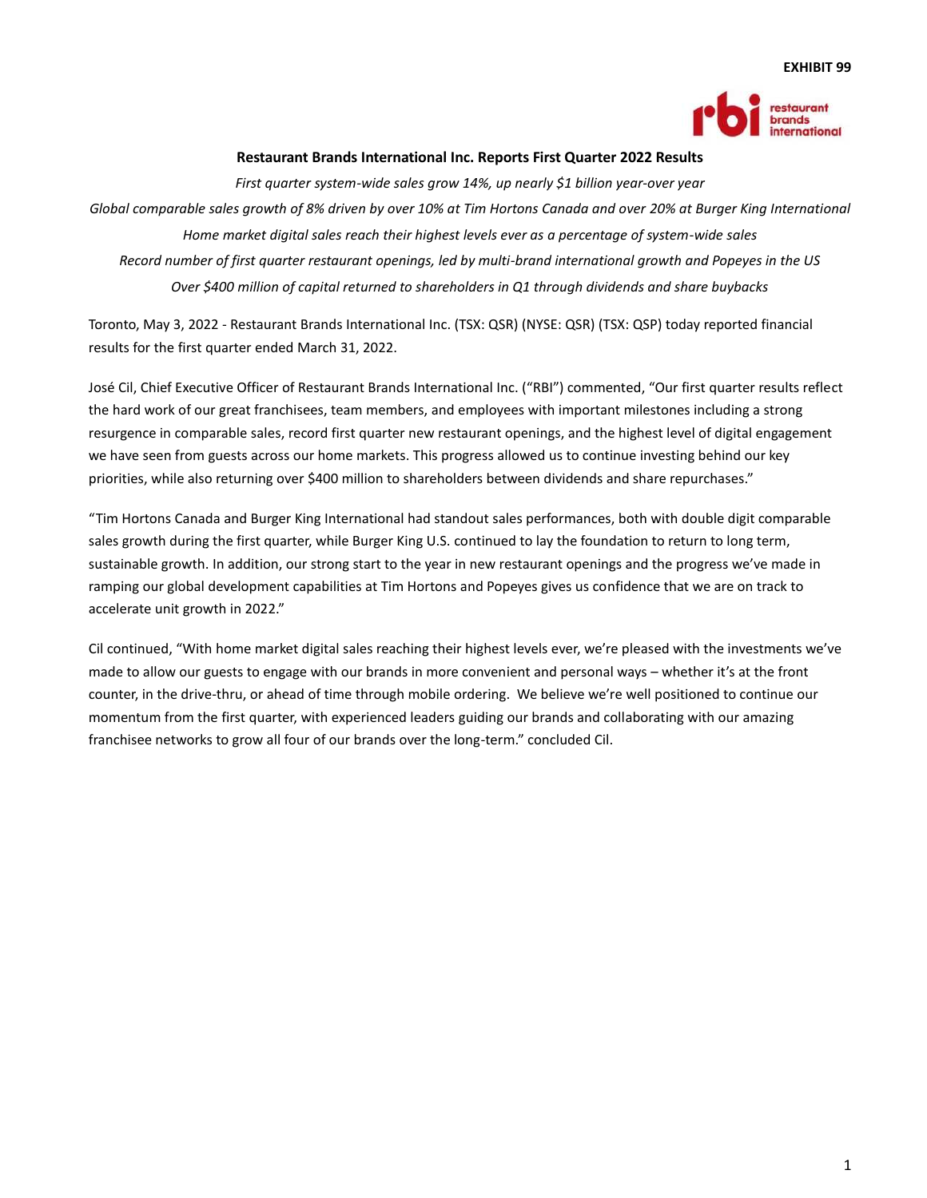#### **EXHIBIT 99**



## **Restaurant Brands International Inc. Reports First Quarter 2022 Results**

*First quarter system-wide sales grow 14%, up nearly \$1 billion year-over year Global comparable sales growth of 8% driven by over 10% at Tim Hortons Canada and over 20% at Burger King International Home market digital sales reach their highest levels ever as a percentage of system-wide sales Record number of first quarter restaurant openings, led by multi-brand international growth and Popeyes in the US Over \$400 million of capital returned to shareholders in Q1 through dividends and share buybacks*

Toronto, May 3, 2022 - Restaurant Brands International Inc. (TSX: QSR) (NYSE: QSR) (TSX: QSP) today reported financial results for the first quarter ended March 31, 2022.

José Cil, Chief Executive Officer of Restaurant Brands International Inc. ("RBI") commented, "Our first quarter results reflect the hard work of our great franchisees, team members, and employees with important milestones including a strong resurgence in comparable sales, record first quarter new restaurant openings, and the highest level of digital engagement we have seen from guests across our home markets. This progress allowed us to continue investing behind our key priorities, while also returning over \$400 million to shareholders between dividends and share repurchases."

"Tim Hortons Canada and Burger King International had standout sales performances, both with double digit comparable sales growth during the first quarter, while Burger King U.S. continued to lay the foundation to return to long term, sustainable growth. In addition, our strong start to the year in new restaurant openings and the progress we've made in ramping our global development capabilities at Tim Hortons and Popeyes gives us confidence that we are on track to accelerate unit growth in 2022."

Cil continued, "With home market digital sales reaching their highest levels ever, we're pleased with the investments we've made to allow our guests to engage with our brands in more convenient and personal ways – whether it's at the front counter, in the drive-thru, or ahead of time through mobile ordering. We believe we're well positioned to continue our momentum from the first quarter, with experienced leaders guiding our brands and collaborating with our amazing franchisee networks to grow all four of our brands over the long-term." concluded Cil.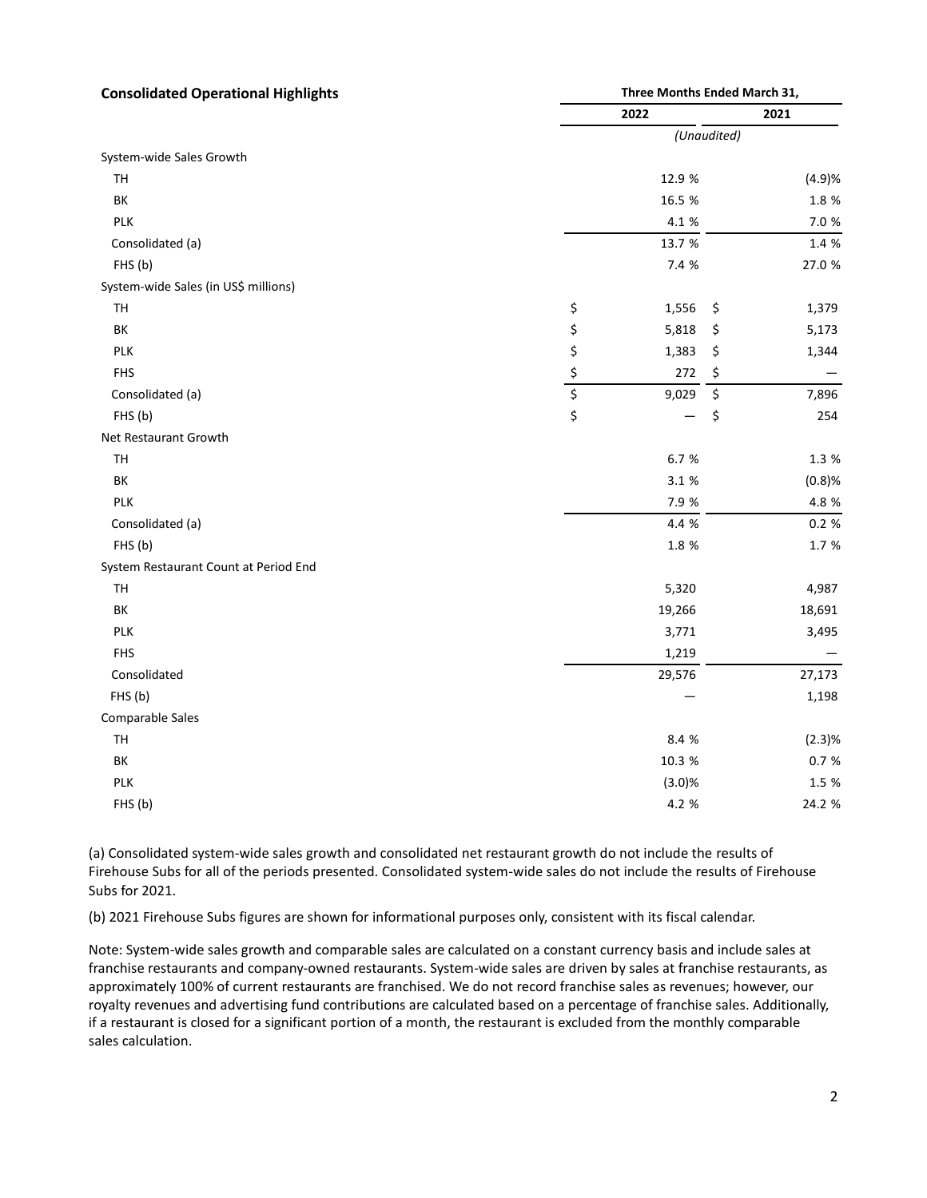| <b>Consolidated Operational Highlights</b> | Three Months Ended March 31,    |        |             |        |
|--------------------------------------------|---------------------------------|--------|-------------|--------|
|                                            |                                 | 2022   |             | 2021   |
|                                            |                                 |        | (Unaudited) |        |
| System-wide Sales Growth                   |                                 |        |             |        |
| TH                                         |                                 | 12.9 % |             | (4.9)% |
| ВK                                         |                                 | 16.5 % |             | 1.8 %  |
| <b>PLK</b>                                 |                                 | 4.1 %  |             | 7.0 %  |
| Consolidated (a)                           |                                 | 13.7 % |             | 1.4 %  |
| FHS (b)                                    |                                 | 7.4 %  |             | 27.0 % |
| System-wide Sales (in US\$ millions)       |                                 |        |             |        |
| TH                                         | \$                              | 1,556  | \$          | 1,379  |
| ВK                                         | \$                              | 5,818  | \$          | 5,173  |
| <b>PLK</b>                                 | \$                              | 1,383  | \$          | 1,344  |
| <b>FHS</b>                                 | \$                              | 272    | \$          |        |
| Consolidated (a)                           | $\overline{\boldsymbol{\zeta}}$ | 9,029  | \$          | 7,896  |
| FHS (b)                                    | \$                              |        | \$          | 254    |
| Net Restaurant Growth                      |                                 |        |             |        |
| TH                                         |                                 | 6.7 %  |             | 1.3 %  |
| ВK                                         |                                 | 3.1 %  |             | (0.8)% |
| PLK                                        |                                 | 7.9 %  |             | 4.8 %  |
| Consolidated (a)                           |                                 | 4.4 %  |             | 0.2 %  |
| FHS (b)                                    |                                 | 1.8 %  |             | 1.7 %  |
| System Restaurant Count at Period End      |                                 |        |             |        |
| TH                                         |                                 | 5,320  |             | 4,987  |
| ΒK                                         |                                 | 19,266 |             | 18,691 |
| <b>PLK</b>                                 |                                 | 3,771  |             | 3,495  |
| <b>FHS</b>                                 |                                 | 1,219  |             |        |
| Consolidated                               |                                 | 29,576 |             | 27,173 |
| FHS(b)                                     |                                 |        |             | 1,198  |
| Comparable Sales                           |                                 |        |             |        |
| TH                                         |                                 | 8.4 %  |             | (2.3)% |
| BK                                         |                                 | 10.3 % |             | 0.7%   |
| <b>PLK</b>                                 |                                 | (3.0)% |             | 1.5 %  |
| FHS(b)                                     |                                 | 4.2 %  |             | 24.2 % |

(a) Consolidated system-wide sales growth and consolidated net restaurant growth do not include the results of Firehouse Subs for all of the periods presented. Consolidated system-wide sales do not include the results of Firehouse Subs for 2021.

(b) 2021 Firehouse Subs figures are shown for informational purposes only, consistent with its fiscal calendar.

Note: System-wide sales growth and comparable sales are calculated on a constant currency basis and include sales at franchise restaurants and company-owned restaurants. System-wide sales are driven by sales at franchise restaurants, as approximately 100% of current restaurants are franchised. We do not record franchise sales as revenues; however, our royalty revenues and advertising fund contributions are calculated based on a percentage of franchise sales. Additionally, if a restaurant is closed for a significant portion of a month, the restaurant is excluded from the monthly comparable sales calculation.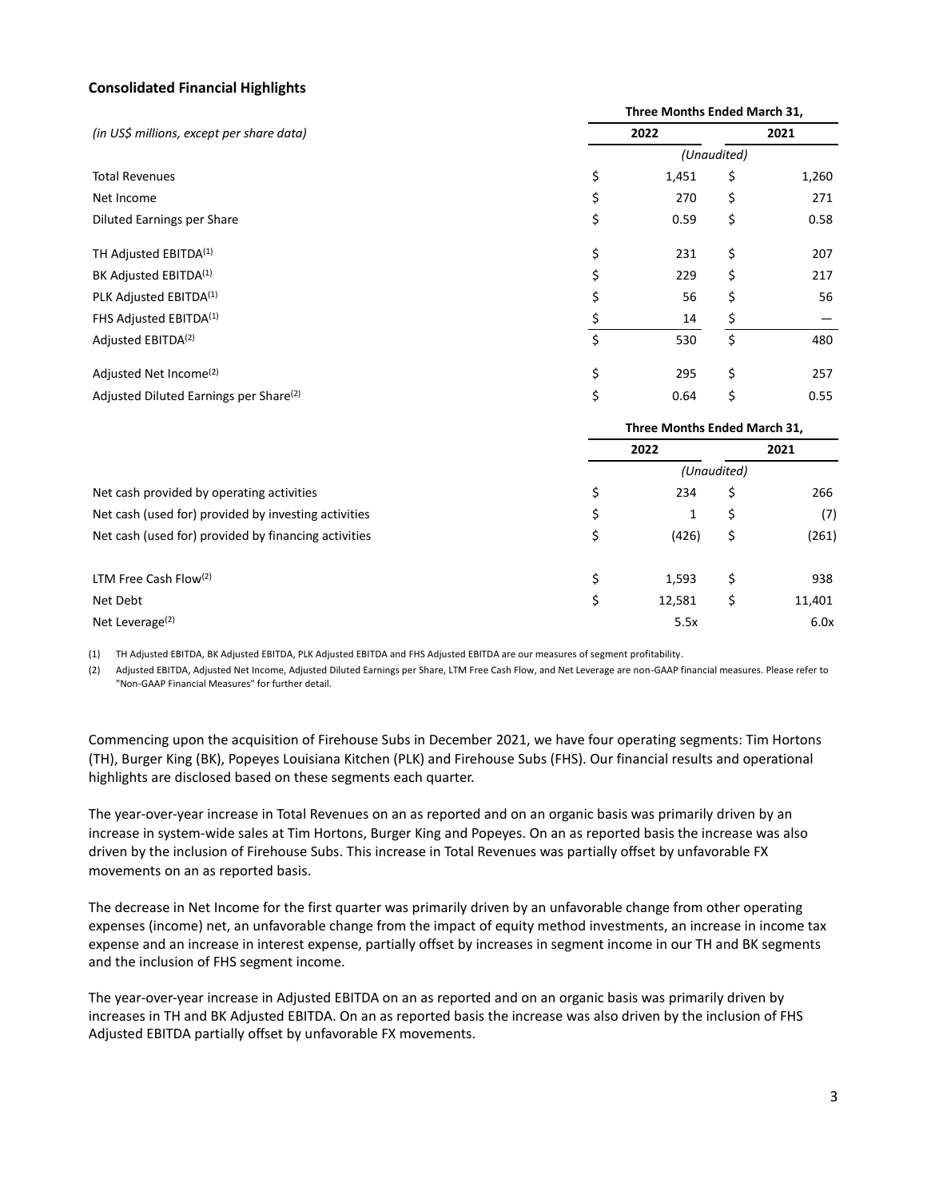## **Consolidated Financial Highlights**

|                                                      | Three Months Ended March 31, |                              |             |       |  |
|------------------------------------------------------|------------------------------|------------------------------|-------------|-------|--|
| (in US\$ millions, except per share data)            |                              | 2022                         |             | 2021  |  |
|                                                      |                              |                              | (Unaudited) |       |  |
| <b>Total Revenues</b>                                | \$                           | 1,451                        | \$          | 1,260 |  |
| Net Income                                           | \$                           | 270                          | \$          | 271   |  |
| Diluted Earnings per Share                           | \$                           | 0.59                         | \$          | 0.58  |  |
| TH Adjusted EBITDA <sup>(1)</sup>                    | \$                           | 231                          | \$          | 207   |  |
| BK Adjusted EBITDA <sup>(1)</sup>                    | \$                           | 229                          | \$          | 217   |  |
| PLK Adjusted EBITDA <sup>(1)</sup>                   | \$                           | 56                           | \$          | 56    |  |
| FHS Adjusted EBITDA <sup>(1)</sup>                   | \$                           | 14                           | \$          |       |  |
| Adjusted EBITDA <sup>(2)</sup>                       | \$                           | 530                          | \$          | 480   |  |
| Adjusted Net Income <sup>(2)</sup>                   | \$                           | 295                          | \$          | 257   |  |
| Adjusted Diluted Earnings per Share <sup>(2)</sup>   | \$                           | 0.64                         | \$          | 0.55  |  |
|                                                      |                              | Three Months Ended March 31, |             |       |  |
|                                                      |                              | 2022                         |             | 2021  |  |
|                                                      |                              |                              | (Unaudited) |       |  |
| Net cash provided by operating activities            | \$                           | 234                          | \$          | 266   |  |
| Net cash (used for) provided by investing activities | \$                           | 1                            | \$          | (7)   |  |
| Net cash (used for) provided by financing activities | \$                           | (426)                        | \$          | (261) |  |
| LTM Free Cash Flow(2)                                | \$                           | 1,593                        | \$          | 938   |  |

(1) TH Adjusted EBITDA, BK Adjusted EBITDA, PLK Adjusted EBITDA and FHS Adjusted EBITDA are our measures of segment profitability.

(2) Adjusted EBITDA, Adjusted Net Income, Adjusted Diluted Earnings per Share, LTM Free Cash Flow, and Net Leverage are non-GAAP financial measures. Please refer to "Non-GAAP Financial Measures" for further detail.

Net Debt \$ 12,581 \$ 11,401 Net Leverage(2) 5.5x 6.0x

Commencing upon the acquisition of Firehouse Subs in December 2021, we have four operating segments: Tim Hortons (TH), Burger King (BK), Popeyes Louisiana Kitchen (PLK) and Firehouse Subs (FHS). Our financial results and operational highlights are disclosed based on these segments each quarter.

The year-over-year increase in Total Revenues on an as reported and on an organic basis was primarily driven by an increase in system-wide sales at Tim Hortons, Burger King and Popeyes. On an as reported basis the increase was also driven by the inclusion of Firehouse Subs. This increase in Total Revenues was partially offset by unfavorable FX movements on an as reported basis.

The decrease in Net Income for the first quarter was primarily driven by an unfavorable change from other operating expenses (income) net, an unfavorable change from the impact of equity method investments, an increase in income tax expense and an increase in interest expense, partially offset by increases in segment income in our TH and BK segments and the inclusion of FHS segment income.

The year-over-year increase in Adjusted EBITDA on an as reported and on an organic basis was primarily driven by increases in TH and BK Adjusted EBITDA. On an as reported basis the increase was also driven by the inclusion of FHS Adjusted EBITDA partially offset by unfavorable FX movements.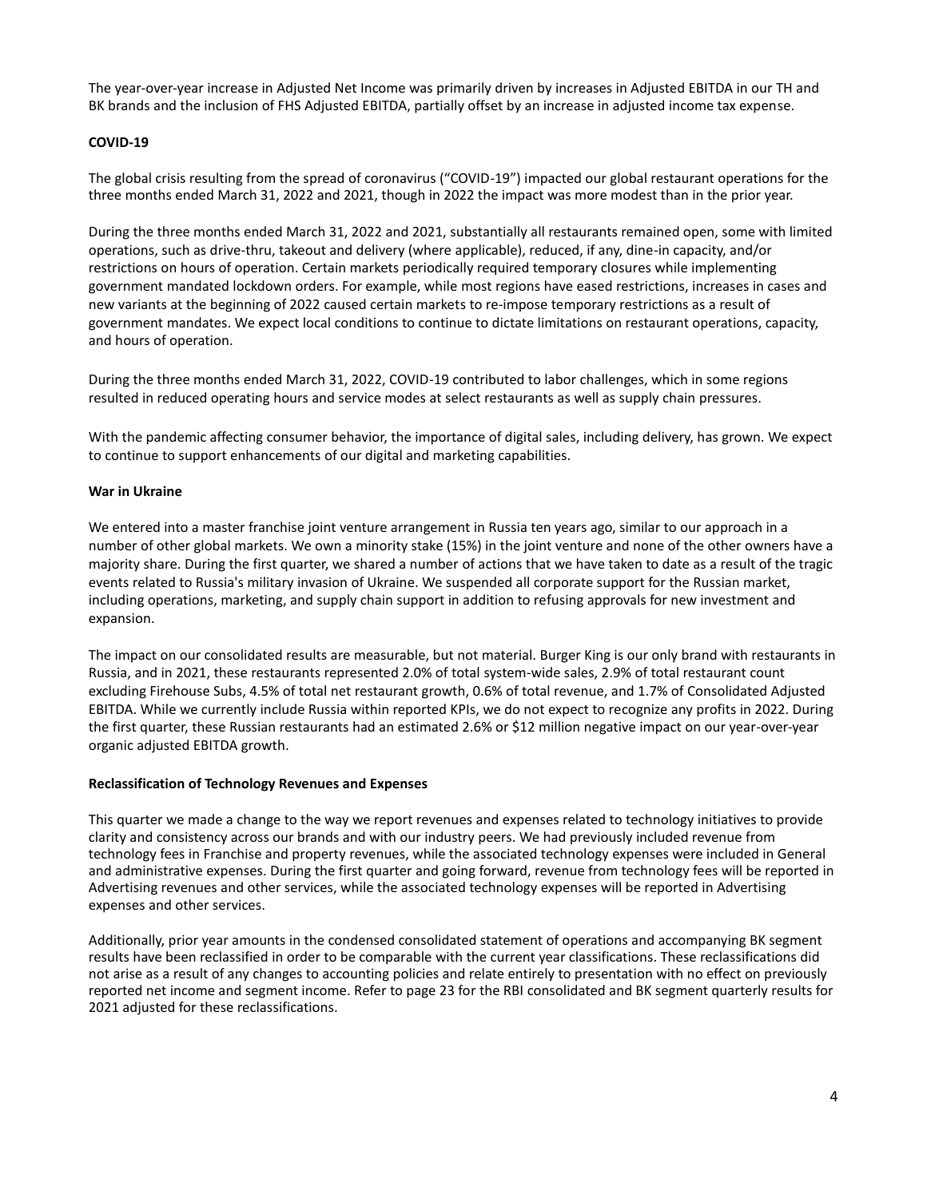The year-over-year increase in Adjusted Net Income was primarily driven by increases in Adjusted EBITDA in our TH and BK brands and the inclusion of FHS Adjusted EBITDA, partially offset by an increase in adjusted income tax expense.

## **COVID-19**

The global crisis resulting from the spread of coronavirus ("COVID-19") impacted our global restaurant operations for the three months ended March 31, 2022 and 2021, though in 2022 the impact was more modest than in the prior year.

During the three months ended March 31, 2022 and 2021, substantially all restaurants remained open, some with limited operations, such as drive-thru, takeout and delivery (where applicable), reduced, if any, dine-in capacity, and/or restrictions on hours of operation. Certain markets periodically required temporary closures while implementing government mandated lockdown orders. For example, while most regions have eased restrictions, increases in cases and new variants at the beginning of 2022 caused certain markets to re-impose temporary restrictions as a result of government mandates. We expect local conditions to continue to dictate limitations on restaurant operations, capacity, and hours of operation.

During the three months ended March 31, 2022, COVID-19 contributed to labor challenges, which in some regions resulted in reduced operating hours and service modes at select restaurants as well as supply chain pressures.

With the pandemic affecting consumer behavior, the importance of digital sales, including delivery, has grown. We expect to continue to support enhancements of our digital and marketing capabilities.

## **War in Ukraine**

We entered into a master franchise joint venture arrangement in Russia ten years ago, similar to our approach in a number of other global markets. We own a minority stake (15%) in the joint venture and none of the other owners have a majority share. During the first quarter, we shared a number of actions that we have taken to date as a result of the tragic events related to Russia's military invasion of Ukraine. We suspended all corporate support for the Russian market, including operations, marketing, and supply chain support in addition to refusing approvals for new investment and expansion.

The impact on our consolidated results are measurable, but not material. Burger King is our only brand with restaurants in Russia, and in 2021, these restaurants represented 2.0% of total system-wide sales, 2.9% of total restaurant count excluding Firehouse Subs, 4.5% of total net restaurant growth, 0.6% of total revenue, and 1.7% of Consolidated Adjusted EBITDA. While we currently include Russia within reported KPIs, we do not expect to recognize any profits in 2022. During the first quarter, these Russian restaurants had an estimated 2.6% or \$12 million negative impact on our year-over-year organic adjusted EBITDA growth.

## **Reclassification of Technology Revenues and Expenses**

This quarter we made a change to the way we report revenues and expenses related to technology initiatives to provide clarity and consistency across our brands and with our industry peers. We had previously included revenue from technology fees in Franchise and property revenues, while the associated technology expenses were included in General and administrative expenses. During the first quarter and going forward, revenue from technology fees will be reported in Advertising revenues and other services, while the associated technology expenses will be reported in Advertising expenses and other services.

Additionally, prior year amounts in the condensed consolidated statement of operations and accompanying BK segment results have been reclassified in order to be comparable with the current year classifications. These reclassifications did not arise as a result of any changes to accounting policies and relate entirely to presentation with no effect on previously reported net income and segment income. Refer to page 23 for the RBI consolidated and BK segment quarterly results for 2021 adjusted for these reclassifications.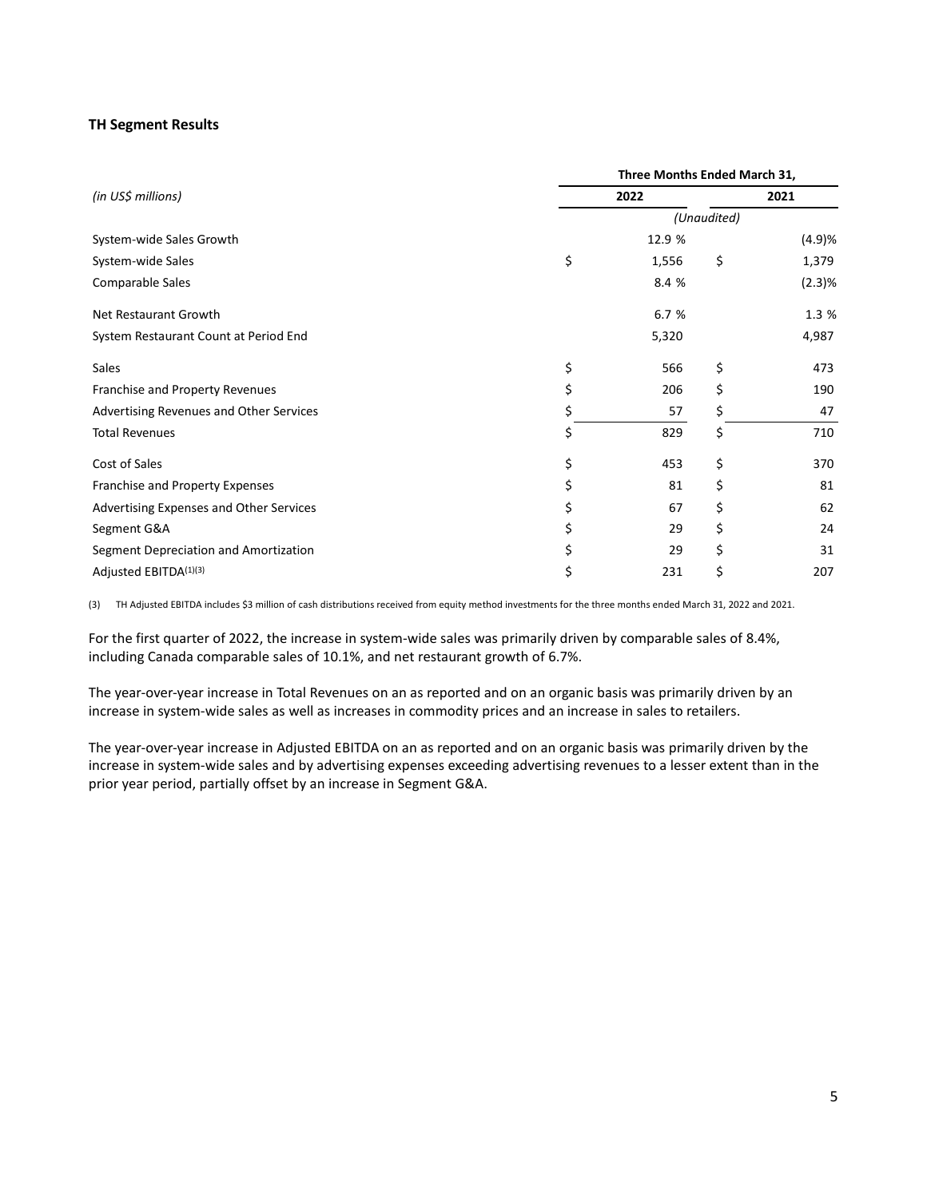## **TH Segment Results**

|                                         |    | Three Months Ended March 31, |             |        |
|-----------------------------------------|----|------------------------------|-------------|--------|
| (in US\$ millions)                      |    | 2022                         |             | 2021   |
|                                         |    |                              | (Unaudited) |        |
| System-wide Sales Growth                |    | 12.9 %                       |             | (4.9)% |
| System-wide Sales                       | \$ | 1,556                        | \$          | 1,379  |
| Comparable Sales                        |    | 8.4 %                        |             | (2.3)% |
| Net Restaurant Growth                   |    | 6.7 %                        |             | 1.3 %  |
| System Restaurant Count at Period End   |    | 5,320                        |             | 4,987  |
| Sales                                   | \$ | 566                          | \$          | 473    |
| Franchise and Property Revenues         | Ś  | 206                          | \$          | 190    |
| Advertising Revenues and Other Services | \$ | 57                           | \$          | 47     |
| <b>Total Revenues</b>                   |    | 829                          | \$          | 710    |
| Cost of Sales                           | \$ | 453                          | \$          | 370    |
| Franchise and Property Expenses         | \$ | 81                           | \$          | 81     |
| Advertising Expenses and Other Services | \$ | 67                           | \$          | 62     |
| Segment G&A                             |    | 29                           | \$          | 24     |
| Segment Depreciation and Amortization   |    | 29                           | \$          | 31     |
| Adjusted EBITDA(1)(3)                   | \$ | 231                          | \$          | 207    |

(3) TH Adjusted EBITDA includes \$3 million of cash distributions received from equity method investments for the three months ended March 31, 2022 and 2021.

For the first quarter of 2022, the increase in system-wide sales was primarily driven by comparable sales of 8.4%, including Canada comparable sales of 10.1%, and net restaurant growth of 6.7%.

The year-over-year increase in Total Revenues on an as reported and on an organic basis was primarily driven by an increase in system-wide sales as well as increases in commodity prices and an increase in sales to retailers.

The year-over-year increase in Adjusted EBITDA on an as reported and on an organic basis was primarily driven by the increase in system-wide sales and by advertising expenses exceeding advertising revenues to a lesser extent than in the prior year period, partially offset by an increase in Segment G&A.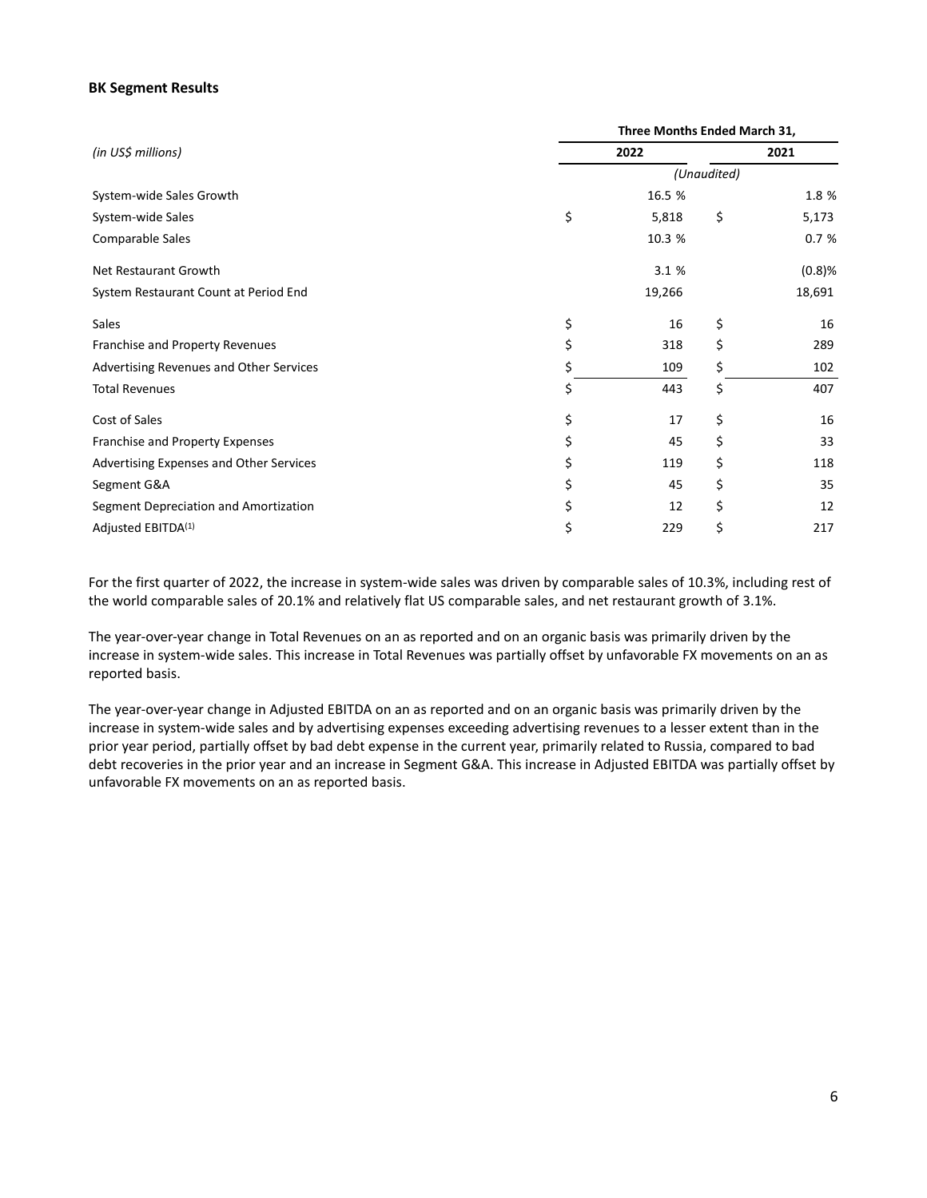## **BK Segment Results**

|                                         | Three Months Ended March 31, |             |        |
|-----------------------------------------|------------------------------|-------------|--------|
| (in US\$ millions)                      | 2022                         |             | 2021   |
|                                         |                              | (Unaudited) |        |
| System-wide Sales Growth                | 16.5 %                       |             | 1.8 %  |
| System-wide Sales                       | \$<br>5,818                  | \$          | 5,173  |
| Comparable Sales                        | 10.3 %                       |             | 0.7%   |
| Net Restaurant Growth                   | 3.1 %                        |             | (0.8)% |
| System Restaurant Count at Period End   | 19,266                       |             | 18,691 |
| Sales                                   | \$<br>16                     | \$          | 16     |
| Franchise and Property Revenues         | \$<br>318                    | \$          | 289    |
| Advertising Revenues and Other Services | \$<br>109                    | \$          | 102    |
| <b>Total Revenues</b>                   | \$<br>443                    | \$          | 407    |
| Cost of Sales                           | \$<br>17                     | \$          | 16     |
| Franchise and Property Expenses         | \$<br>45                     | \$          | 33     |
| Advertising Expenses and Other Services | \$<br>119                    | \$          | 118    |
| Segment G&A                             | 45                           | \$          | 35     |
| Segment Depreciation and Amortization   | 12                           | \$          | 12     |
| Adjusted EBITDA <sup>(1)</sup>          | \$<br>229                    | \$          | 217    |

For the first quarter of 2022, the increase in system-wide sales was driven by comparable sales of 10.3%, including rest of the world comparable sales of 20.1% and relatively flat US comparable sales, and net restaurant growth of 3.1%.

The year-over-year change in Total Revenues on an as reported and on an organic basis was primarily driven by the increase in system-wide sales. This increase in Total Revenues was partially offset by unfavorable FX movements on an as reported basis.

The year-over-year change in Adjusted EBITDA on an as reported and on an organic basis was primarily driven by the increase in system-wide sales and by advertising expenses exceeding advertising revenues to a lesser extent than in the prior year period, partially offset by bad debt expense in the current year, primarily related to Russia, compared to bad debt recoveries in the prior year and an increase in Segment G&A. This increase in Adjusted EBITDA was partially offset by unfavorable FX movements on an as reported basis.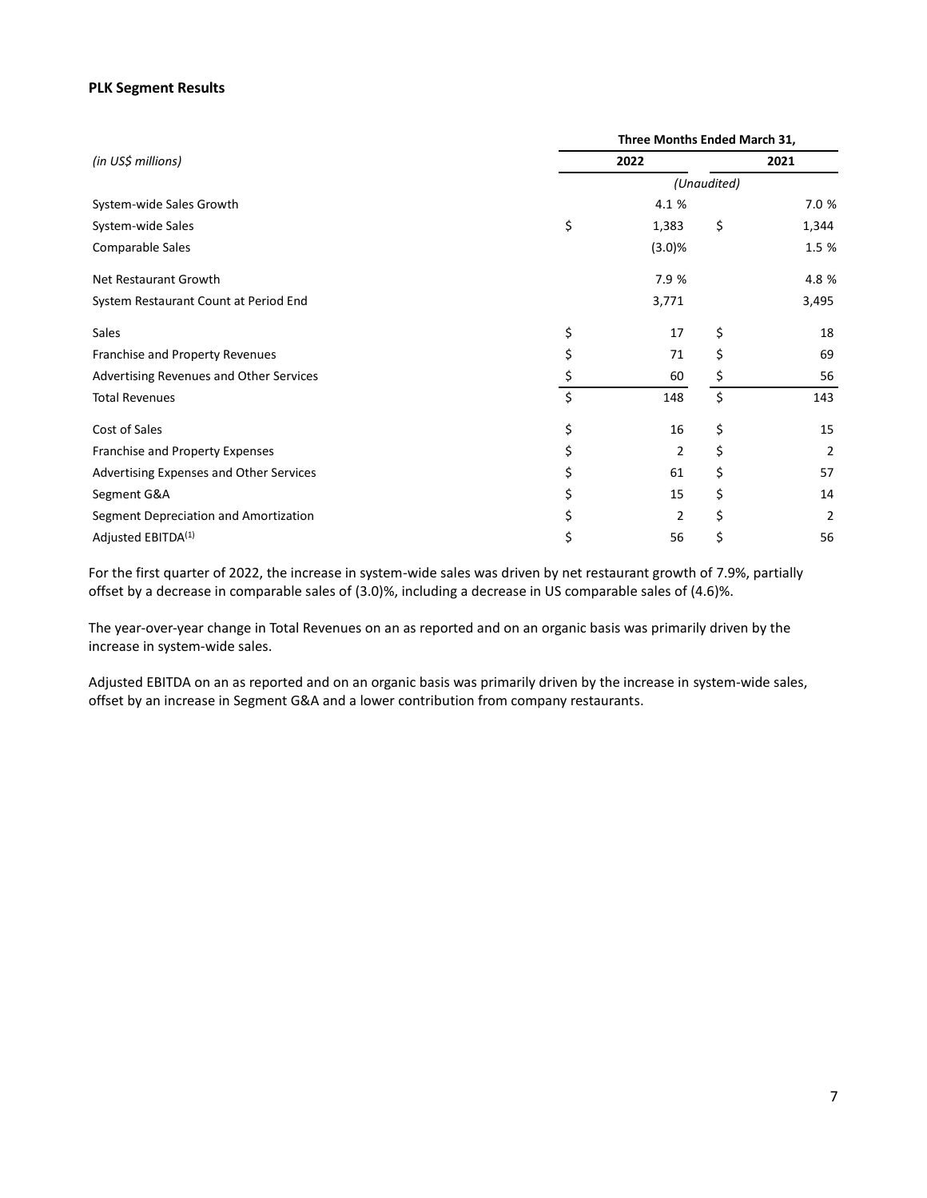## **PLK Segment Results**

|                                         | Three Months Ended March 31, |             |                |
|-----------------------------------------|------------------------------|-------------|----------------|
| (in US\$ millions)                      | 2022                         |             | 2021           |
|                                         |                              | (Unaudited) |                |
| System-wide Sales Growth                | 4.1 %                        |             | 7.0 %          |
| System-wide Sales                       | \$<br>1,383                  | \$          | 1,344          |
| Comparable Sales                        | (3.0)%                       |             | 1.5 %          |
| Net Restaurant Growth                   | 7.9 %                        |             | 4.8 %          |
| System Restaurant Count at Period End   | 3,771                        |             | 3,495          |
| Sales                                   | \$<br>17                     | \$          | 18             |
| Franchise and Property Revenues         | \$<br>71                     | \$          | 69             |
| Advertising Revenues and Other Services | \$<br>60                     | \$          | 56             |
| <b>Total Revenues</b>                   | \$<br>148                    | \$          | 143            |
| Cost of Sales                           | \$<br>16                     | \$          | 15             |
| Franchise and Property Expenses         | 2                            | \$          | 2              |
| Advertising Expenses and Other Services | 61                           | \$          | 57             |
| Segment G&A                             | \$<br>15                     | \$          | 14             |
| Segment Depreciation and Amortization   | \$<br>2                      | \$          | $\overline{2}$ |
| Adjusted EBITDA <sup>(1)</sup>          | \$<br>56                     | \$          | 56             |

For the first quarter of 2022, the increase in system-wide sales was driven by net restaurant growth of 7.9%, partially offset by a decrease in comparable sales of (3.0)%, including a decrease in US comparable sales of (4.6)%.

The year-over-year change in Total Revenues on an as reported and on an organic basis was primarily driven by the increase in system-wide sales.

Adjusted EBITDA on an as reported and on an organic basis was primarily driven by the increase in system-wide sales, offset by an increase in Segment G&A and a lower contribution from company restaurants.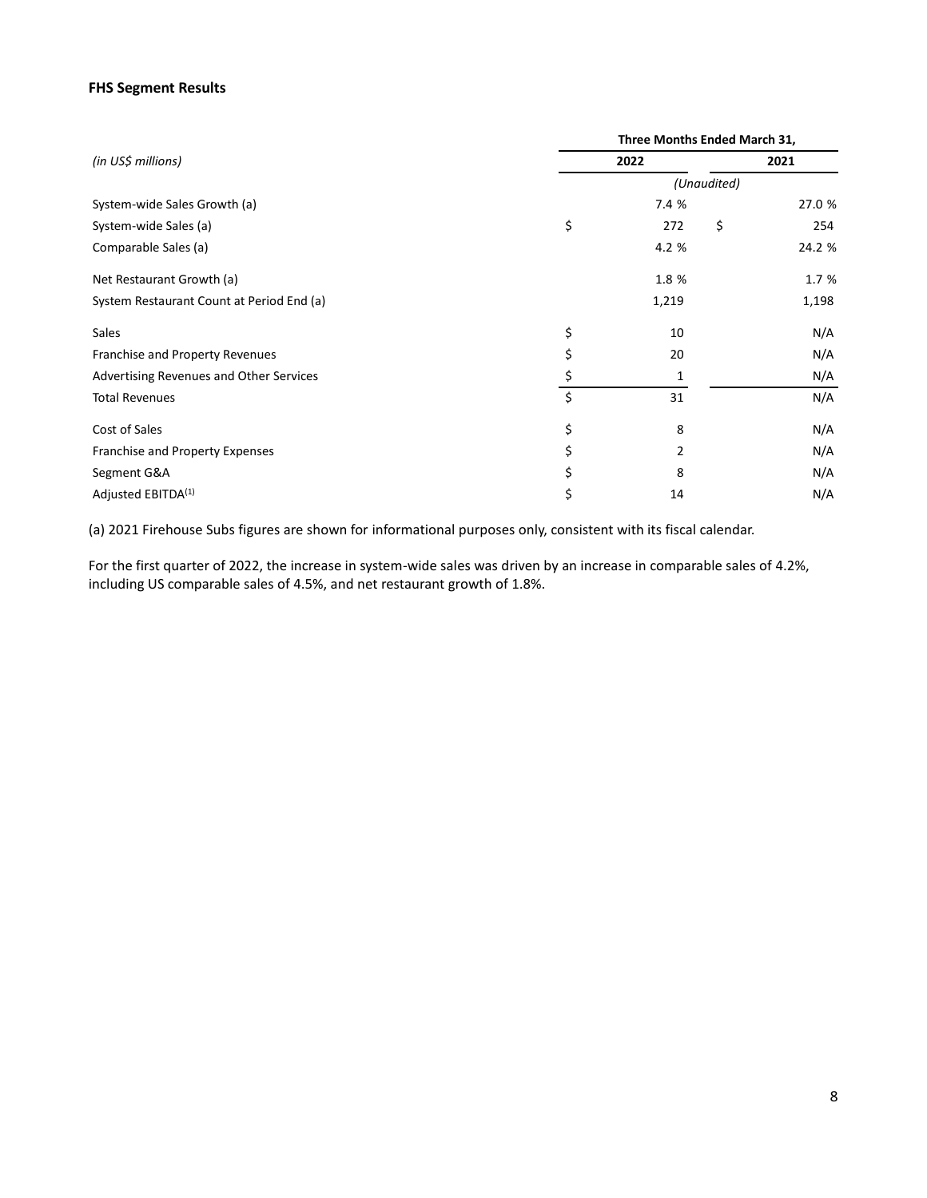## **FHS Segment Results**

|                                           | Three Months Ended March 31, |             |        |
|-------------------------------------------|------------------------------|-------------|--------|
| (in US\$ millions)                        | 2022                         |             | 2021   |
|                                           |                              | (Unaudited) |        |
| System-wide Sales Growth (a)              | 7.4 %                        |             | 27.0 % |
| System-wide Sales (a)                     | \$<br>272                    | \$          | 254    |
| Comparable Sales (a)                      | 4.2 %                        |             | 24.2 % |
| Net Restaurant Growth (a)                 | 1.8 %                        |             | 1.7 %  |
| System Restaurant Count at Period End (a) | 1,219                        |             | 1,198  |
| Sales                                     | \$<br>10                     |             | N/A    |
| Franchise and Property Revenues           | \$<br>20                     |             | N/A    |
| Advertising Revenues and Other Services   | \$                           |             | N/A    |
| <b>Total Revenues</b>                     | \$<br>31                     |             | N/A    |
| Cost of Sales                             | \$<br>8                      |             | N/A    |
| Franchise and Property Expenses           | \$<br>2                      |             | N/A    |
| Segment G&A                               | \$<br>8                      |             | N/A    |
| Adjusted EBITDA <sup>(1)</sup>            | \$<br>14                     |             | N/A    |

(a) 2021 Firehouse Subs figures are shown for informational purposes only, consistent with its fiscal calendar.

For the first quarter of 2022, the increase in system-wide sales was driven by an increase in comparable sales of 4.2%, including US comparable sales of 4.5%, and net restaurant growth of 1.8%.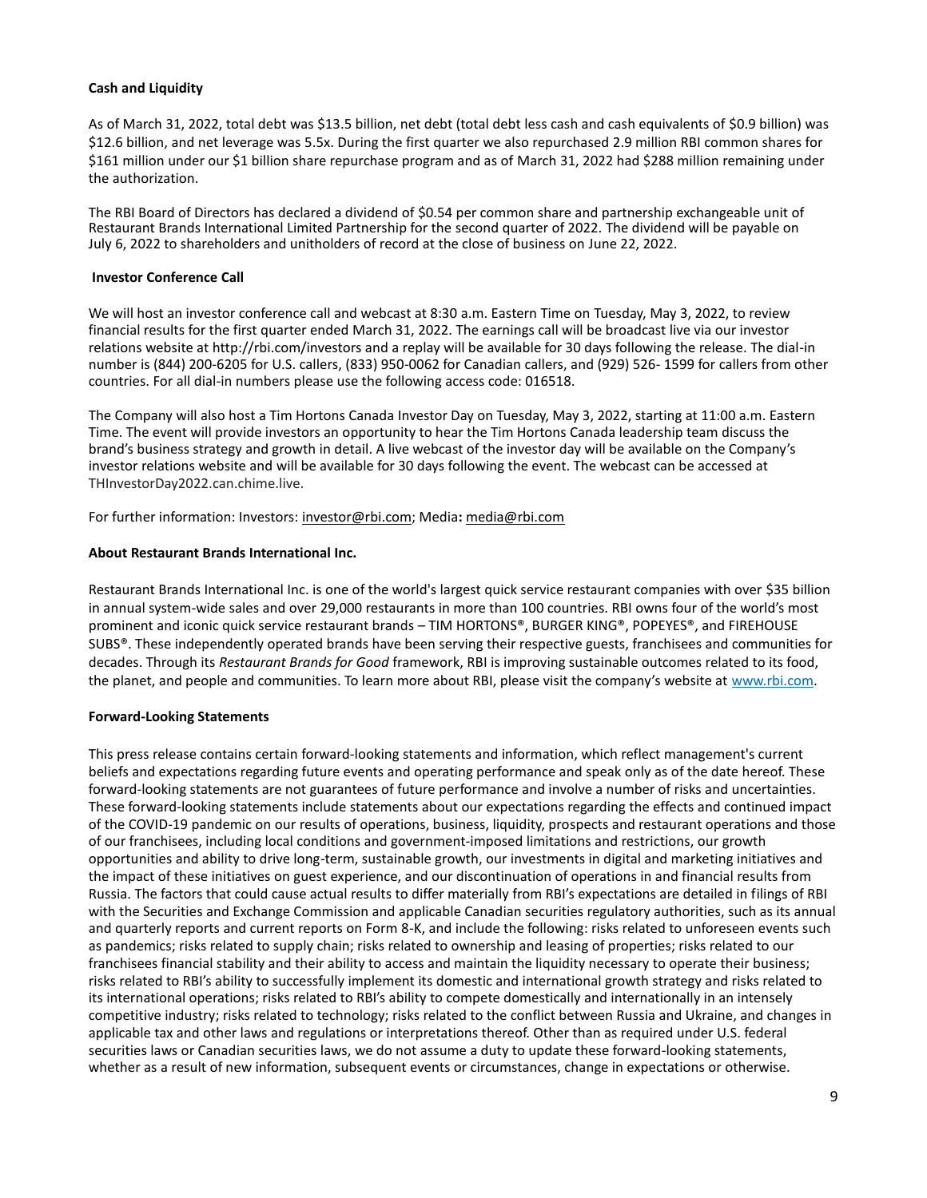## **Cash and Liquidity**

As of March 31, 2022, total debt was \$13.5 billion, net debt (total debt less cash and cash equivalents of \$0.9 billion) was \$12.6 billion, and net leverage was 5.5x. During the first quarter we also repurchased 2.9 million RBI common shares for \$161 million under our \$1 billion share repurchase program and as of March 31, 2022 had \$288 million remaining under the authorization.

The RBI Board of Directors has declared a dividend of \$0.54 per common share and partnership exchangeable unit of Restaurant Brands International Limited Partnership for the second quarter of 2022. The dividend will be payable on July 6, 2022 to shareholders and unitholders of record at the close of business on June 22, 2022.

## **Investor Conference Call**

We will host an investor conference call and webcast at 8:30 a.m. Eastern Time on Tuesday, May 3, 2022, to review financial results for the first quarter ended March 31, 2022. The earnings call will be broadcast live via our investor relations website at http://rbi.com/investors and a replay will be available for 30 days following the release. The dial-in number is (844) 200-6205 for U.S. callers, (833) 950-0062 for Canadian callers, and (929) 526- 1599 for callers from other countries. For all dial-in numbers please use the following access code: 016518.

The Company will also host a Tim Hortons Canada Investor Day on Tuesday, May 3, 2022, starting at 11:00 a.m. Eastern Time. The event will provide investors an opportunity to hear the Tim Hortons Canada leadership team discuss the brand's business strategy and growth in detail. A live webcast of the investor day will be available on the Company's investor relations website and will be available for 30 days following the event. The webcast can be accessed at THInvestorDay2022.can.chime.live.

For further information: Investors: investor@rbi.com; Media**:** media@rbi.com

## **About Restaurant Brands International Inc.**

Restaurant Brands International Inc. is one of the world's largest quick service restaurant companies with over \$35 billion in annual system-wide sales and over 29,000 restaurants in more than 100 countries. RBI owns four of the world's most prominent and iconic quick service restaurant brands – TIM HORTONS®, BURGER KING®, POPEYES®, and FIREHOUSE SUBS®. These independently operated brands have been serving their respective guests, franchisees and communities for decades. Through its *Restaurant Brands for Good* framework, RBI is improving sustainable outcomes related to its food, the planet, and people and communities. To learn more about RBI, please visit the company's website at www.rbi.com.

## **Forward-Looking Statements**

This press release contains certain forward-looking statements and information, which reflect management's current beliefs and expectations regarding future events and operating performance and speak only as of the date hereof. These forward-looking statements are not guarantees of future performance and involve a number of risks and uncertainties. These forward-looking statements include statements about our expectations regarding the effects and continued impact of the COVID-19 pandemic on our results of operations, business, liquidity, prospects and restaurant operations and those of our franchisees, including local conditions and government-imposed limitations and restrictions, our growth opportunities and ability to drive long-term, sustainable growth, our investments in digital and marketing initiatives and the impact of these initiatives on guest experience, and our discontinuation of operations in and financial results from Russia. The factors that could cause actual results to differ materially from RBI's expectations are detailed in filings of RBI with the Securities and Exchange Commission and applicable Canadian securities regulatory authorities, such as its annual and quarterly reports and current reports on Form 8-K, and include the following: risks related to unforeseen events such as pandemics; risks related to supply chain; risks related to ownership and leasing of properties; risks related to our franchisees financial stability and their ability to access and maintain the liquidity necessary to operate their business; risks related to RBI's ability to successfully implement its domestic and international growth strategy and risks related to its international operations; risks related to RBI's ability to compete domestically and internationally in an intensely competitive industry; risks related to technology; risks related to the conflict between Russia and Ukraine, and changes in applicable tax and other laws and regulations or interpretations thereof. Other than as required under U.S. federal securities laws or Canadian securities laws, we do not assume a duty to update these forward-looking statements, whether as a result of new information, subsequent events or circumstances, change in expectations or otherwise.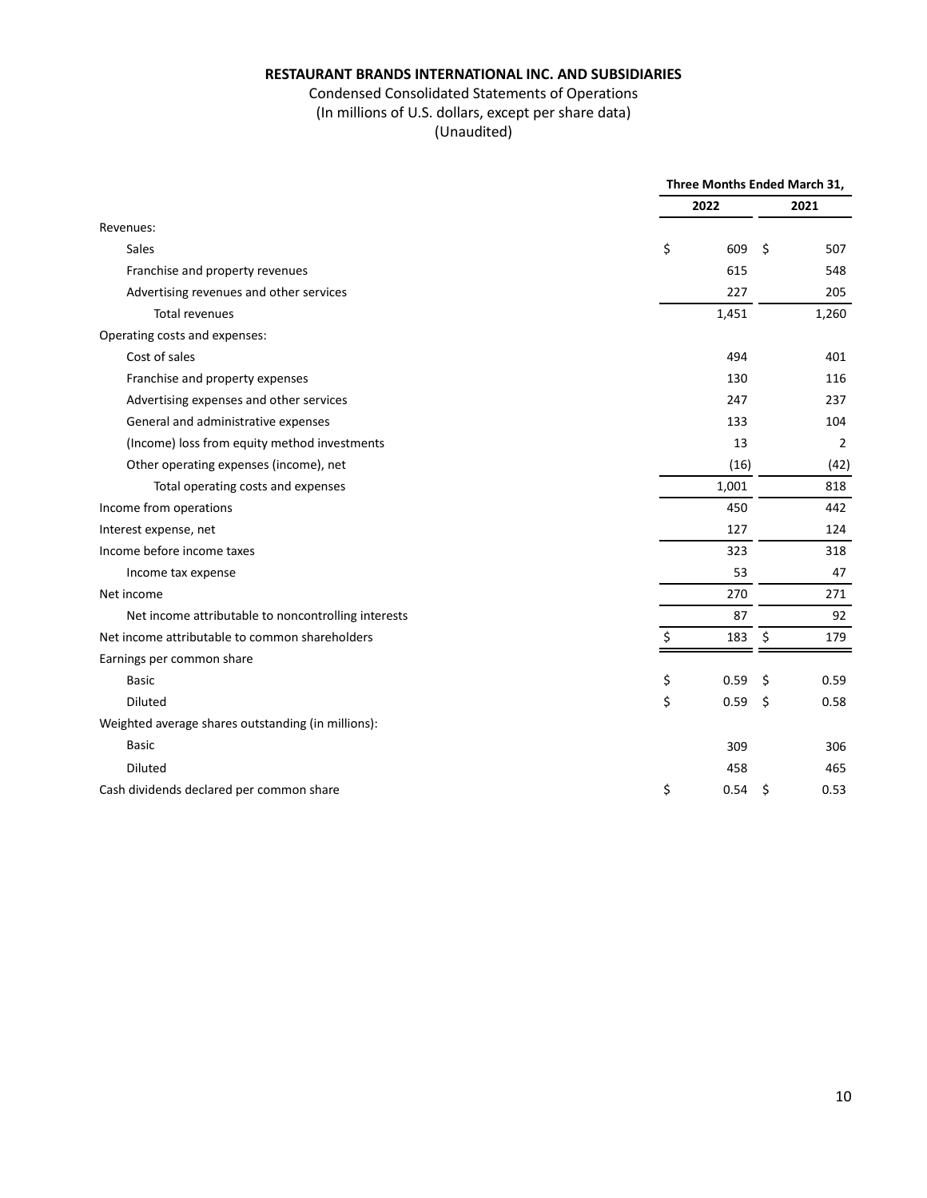## Condensed Consolidated Statements of Operations (In millions of U.S. dollars, except per share data)

|                                                     |       | Three Months Ended March 31, |                |  |  |
|-----------------------------------------------------|-------|------------------------------|----------------|--|--|
|                                                     | 2022  |                              | 2021           |  |  |
| Revenues:                                           |       |                              |                |  |  |
| Sales                                               | \$    | 609<br>Ś                     | 507            |  |  |
| Franchise and property revenues                     |       | 615                          | 548            |  |  |
| Advertising revenues and other services             |       | 227                          | 205            |  |  |
| <b>Total revenues</b>                               | 1,451 |                              | 1,260          |  |  |
| Operating costs and expenses:                       |       |                              |                |  |  |
| Cost of sales                                       |       | 494                          | 401            |  |  |
| Franchise and property expenses                     |       | 130                          | 116            |  |  |
| Advertising expenses and other services             |       | 247                          | 237            |  |  |
| General and administrative expenses                 |       | 133                          | 104            |  |  |
| (Income) loss from equity method investments        |       | 13                           | $\overline{2}$ |  |  |
| Other operating expenses (income), net              |       | (16)                         | (42)           |  |  |
| Total operating costs and expenses                  | 1,001 |                              | 818            |  |  |
| Income from operations                              |       | 450                          | 442            |  |  |
| Interest expense, net                               |       | 127                          | 124            |  |  |
| Income before income taxes                          |       | 323                          | 318            |  |  |
| Income tax expense                                  |       | 53                           | 47             |  |  |
| Net income                                          |       | 270                          | 271            |  |  |
| Net income attributable to noncontrolling interests |       | 87                           | 92             |  |  |
| Net income attributable to common shareholders      |       | 183<br>\$                    | 179            |  |  |
| Earnings per common share                           |       |                              |                |  |  |
| <b>Basic</b>                                        | \$    | 0.59<br>\$                   | 0.59           |  |  |
| Diluted                                             | \$    | 0.59<br>\$                   | 0.58           |  |  |
| Weighted average shares outstanding (in millions):  |       |                              |                |  |  |
| <b>Basic</b>                                        |       | 309                          | 306            |  |  |
| Diluted                                             |       | 458                          | 465            |  |  |
| Cash dividends declared per common share            | \$    | 0.54<br>\$                   | 0.53           |  |  |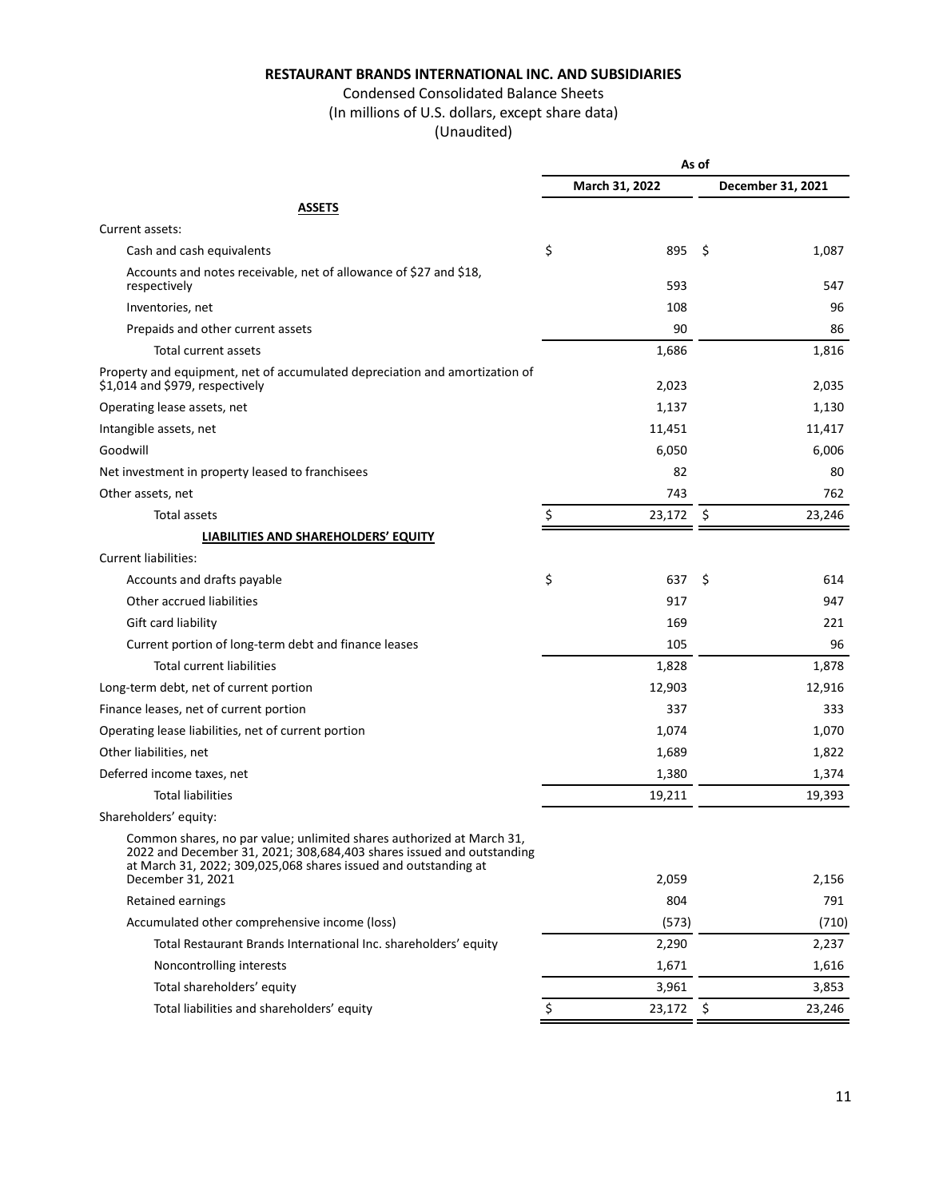# Condensed Consolidated Balance Sheets

(In millions of U.S. dollars, except share data)

|                                                                                                                                                                                                                                        | As of          |             |    |                   |
|----------------------------------------------------------------------------------------------------------------------------------------------------------------------------------------------------------------------------------------|----------------|-------------|----|-------------------|
|                                                                                                                                                                                                                                        | March 31, 2022 |             |    | December 31, 2021 |
| <b>ASSETS</b>                                                                                                                                                                                                                          |                |             |    |                   |
| Current assets:                                                                                                                                                                                                                        |                |             |    |                   |
| Cash and cash equivalents                                                                                                                                                                                                              | \$             | 895         | Ŝ. | 1,087             |
| Accounts and notes receivable, net of allowance of \$27 and \$18,<br>respectively                                                                                                                                                      |                | 593         |    | 547               |
| Inventories, net                                                                                                                                                                                                                       |                | 108         |    | 96                |
| Prepaids and other current assets                                                                                                                                                                                                      |                | 90          |    | 86                |
| Total current assets                                                                                                                                                                                                                   |                | 1,686       |    | 1,816             |
| Property and equipment, net of accumulated depreciation and amortization of<br>\$1,014 and \$979, respectively                                                                                                                         |                | 2,023       |    | 2,035             |
| Operating lease assets, net                                                                                                                                                                                                            |                | 1,137       |    | 1,130             |
| Intangible assets, net                                                                                                                                                                                                                 |                | 11,451      |    | 11,417            |
| Goodwill                                                                                                                                                                                                                               |                | 6,050       |    | 6,006             |
| Net investment in property leased to franchisees                                                                                                                                                                                       |                | 82          |    | 80                |
| Other assets, net                                                                                                                                                                                                                      |                | 743         |    | 762               |
| <b>Total assets</b>                                                                                                                                                                                                                    | \$             | 23,172      | \$ | 23,246            |
| LIABILITIES AND SHAREHOLDERS' EQUITY                                                                                                                                                                                                   |                |             |    |                   |
| <b>Current liabilities:</b>                                                                                                                                                                                                            |                |             |    |                   |
| Accounts and drafts payable                                                                                                                                                                                                            | \$             | 637         | \$ | 614               |
| Other accrued liabilities                                                                                                                                                                                                              |                | 917         |    | 947               |
| Gift card liability                                                                                                                                                                                                                    |                | 169         |    | 221               |
| Current portion of long-term debt and finance leases                                                                                                                                                                                   |                | 105         |    | 96                |
| <b>Total current liabilities</b>                                                                                                                                                                                                       |                | 1,828       |    | 1,878             |
| Long-term debt, net of current portion                                                                                                                                                                                                 |                | 12,903      |    | 12,916            |
| Finance leases, net of current portion                                                                                                                                                                                                 |                | 337         |    | 333               |
| Operating lease liabilities, net of current portion                                                                                                                                                                                    |                | 1,074       |    | 1,070             |
| Other liabilities, net                                                                                                                                                                                                                 |                | 1,689       |    | 1,822             |
| Deferred income taxes, net                                                                                                                                                                                                             |                | 1,380       |    | 1,374             |
| <b>Total liabilities</b>                                                                                                                                                                                                               |                | 19,211      |    | 19,393            |
| Shareholders' equity:                                                                                                                                                                                                                  |                |             |    |                   |
| Common shares, no par value; unlimited shares authorized at March 31,<br>2022 and December 31, 2021; 308,684,403 shares issued and outstanding<br>at March 31, 2022; 309,025,068 shares issued and outstanding at<br>December 31, 2021 |                | 2,059       |    | 2,156             |
| <b>Retained earnings</b>                                                                                                                                                                                                               |                | 804         |    | 791               |
| Accumulated other comprehensive income (loss)                                                                                                                                                                                          |                | (573)       |    | (710)             |
| Total Restaurant Brands International Inc. shareholders' equity                                                                                                                                                                        |                | 2,290       |    | 2,237             |
| Noncontrolling interests                                                                                                                                                                                                               |                | 1,671       |    | 1,616             |
| Total shareholders' equity                                                                                                                                                                                                             |                | 3,961       |    | 3,853             |
| Total liabilities and shareholders' equity                                                                                                                                                                                             | \$             | $23,172$ \$ |    | 23,246            |
|                                                                                                                                                                                                                                        |                |             |    |                   |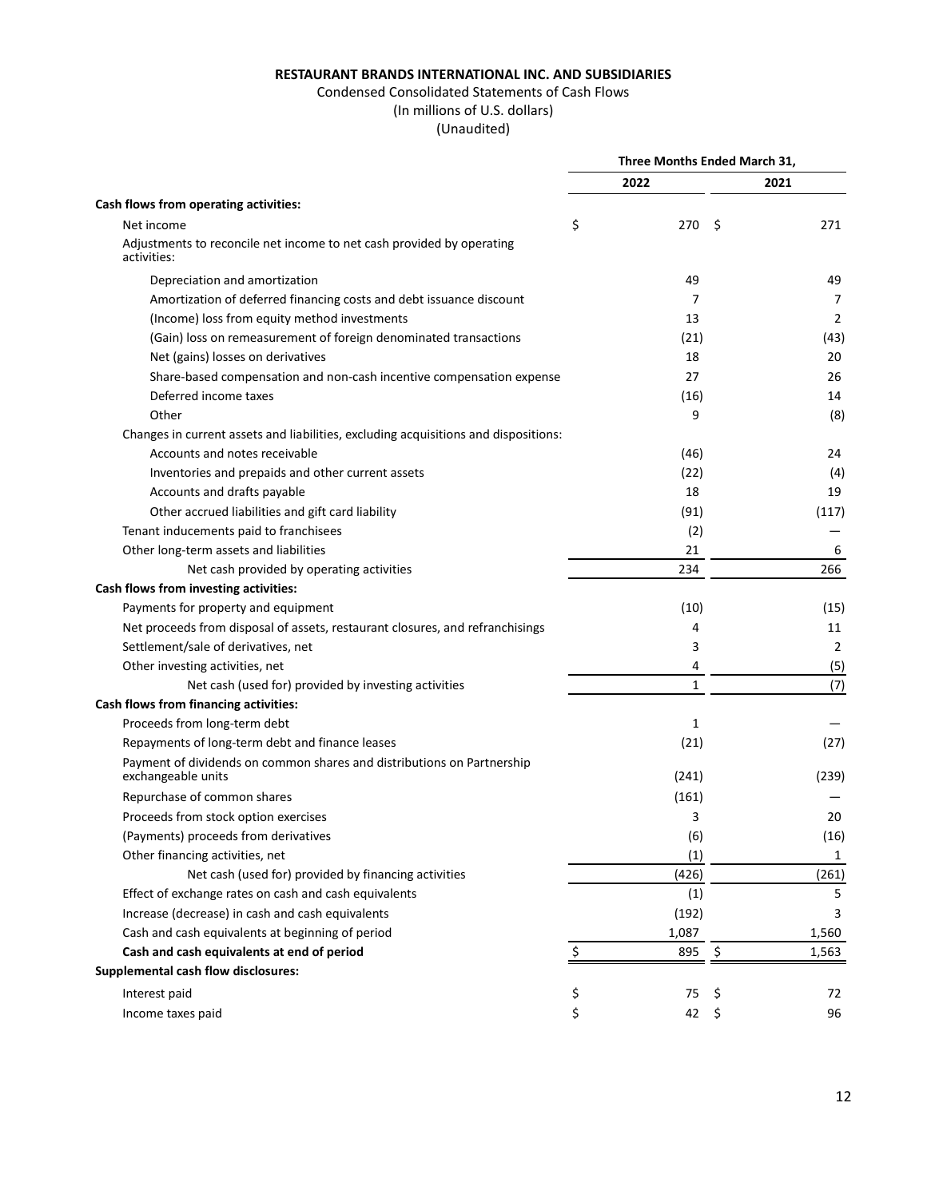## Condensed Consolidated Statements of Cash Flows

(In millions of U.S. dollars)

|                                                                                      | Three Months Ended March 31, |              |      |                |
|--------------------------------------------------------------------------------------|------------------------------|--------------|------|----------------|
|                                                                                      |                              | 2022         |      | 2021           |
| Cash flows from operating activities:                                                |                              |              |      |                |
| Net income                                                                           | \$                           | 270          | - \$ | 271            |
| Adjustments to reconcile net income to net cash provided by operating<br>activities: |                              |              |      |                |
| Depreciation and amortization                                                        |                              | 49           |      | 49             |
| Amortization of deferred financing costs and debt issuance discount                  |                              | 7            |      | 7              |
| (Income) loss from equity method investments                                         |                              | 13           |      | $\overline{2}$ |
| (Gain) loss on remeasurement of foreign denominated transactions                     |                              | (21)         |      | (43)           |
| Net (gains) losses on derivatives                                                    |                              | 18           |      | 20             |
| Share-based compensation and non-cash incentive compensation expense                 |                              | 27           |      | 26             |
| Deferred income taxes                                                                |                              | (16)         |      | 14             |
| Other                                                                                |                              | 9            |      | (8)            |
| Changes in current assets and liabilities, excluding acquisitions and dispositions:  |                              |              |      |                |
| Accounts and notes receivable                                                        |                              | (46)         |      | 24             |
| Inventories and prepaids and other current assets                                    |                              | (22)         |      | (4)            |
| Accounts and drafts payable                                                          |                              | 18           |      | 19             |
| Other accrued liabilities and gift card liability                                    |                              | (91)         |      | (117)          |
| Tenant inducements paid to franchisees                                               |                              | (2)          |      |                |
| Other long-term assets and liabilities                                               |                              | 21           |      | 6              |
| Net cash provided by operating activities                                            |                              | 234          |      | 266            |
| Cash flows from investing activities:                                                |                              |              |      |                |
| Payments for property and equipment                                                  |                              | (10)         |      | (15)           |
| Net proceeds from disposal of assets, restaurant closures, and refranchisings        |                              | 4            |      | 11             |
| Settlement/sale of derivatives, net                                                  |                              | 3            |      | 2              |
| Other investing activities, net                                                      |                              | 4            |      | (5)            |
| Net cash (used for) provided by investing activities                                 |                              | $\mathbf{1}$ |      | (7)            |
| Cash flows from financing activities:                                                |                              |              |      |                |
| Proceeds from long-term debt                                                         |                              | 1            |      |                |
| Repayments of long-term debt and finance leases                                      |                              | (21)         |      | (27)           |
| Payment of dividends on common shares and distributions on Partnership               |                              |              |      |                |
| exchangeable units                                                                   |                              | (241)        |      | (239)          |
| Repurchase of common shares                                                          |                              | (161)        |      |                |
| Proceeds from stock option exercises                                                 |                              | 3            |      | 20             |
| (Payments) proceeds from derivatives                                                 |                              | (6)          |      | (16)           |
| Other financing activities, net                                                      |                              | (1)          |      | 1              |
| Net cash (used for) provided by financing activities                                 |                              | (426)        |      | (261)          |
| Effect of exchange rates on cash and cash equivalents                                |                              | (1)          |      | 5              |
| Increase (decrease) in cash and cash equivalents                                     |                              | (192)        |      | 3              |
| Cash and cash equivalents at beginning of period                                     |                              | 1,087        |      | 1,560          |
| Cash and cash equivalents at end of period                                           |                              | 895          | \$   | 1,563          |
| <b>Supplemental cash flow disclosures:</b>                                           |                              |              |      |                |
| Interest paid                                                                        | \$                           | 75           | \$   | 72             |
| Income taxes paid                                                                    | \$                           | 42           | \$   | 96             |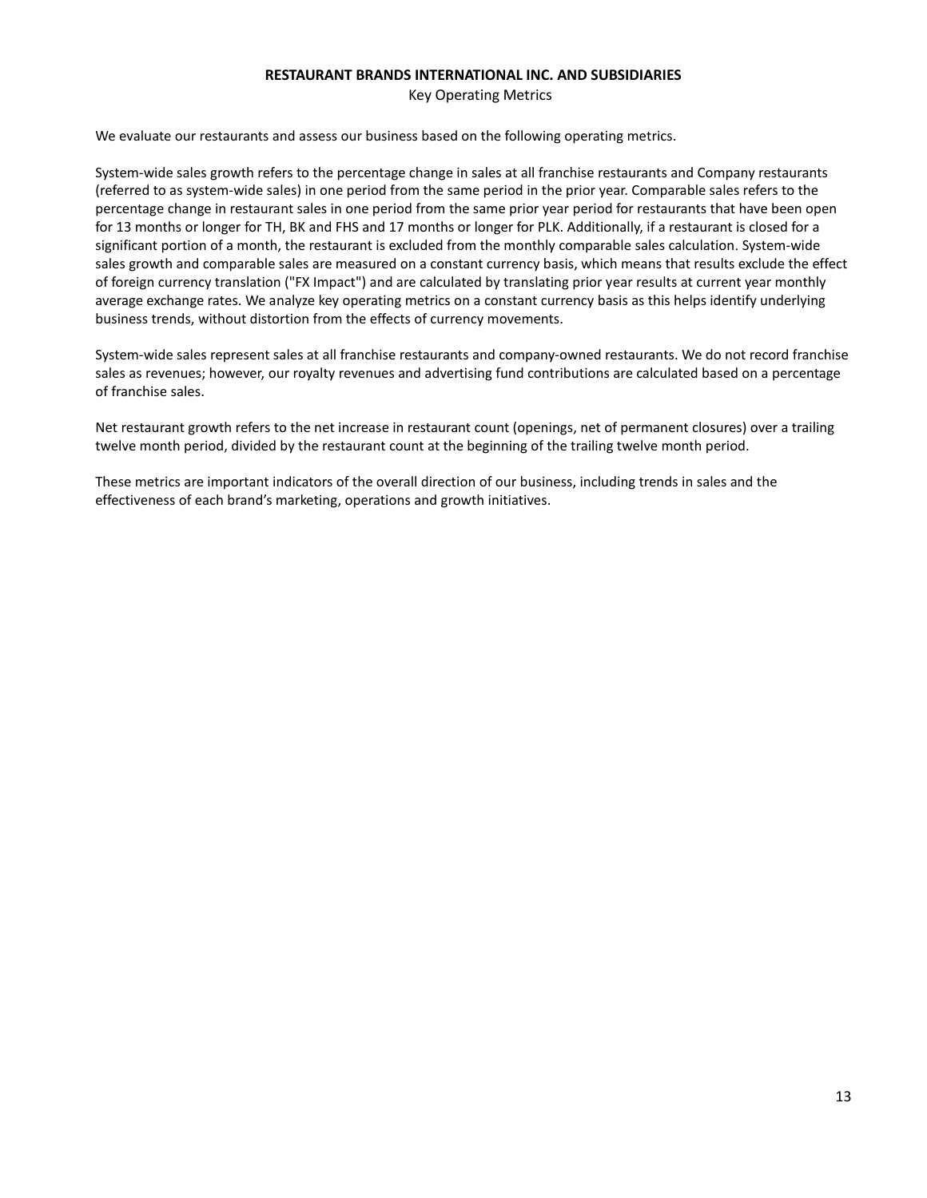Key Operating Metrics

We evaluate our restaurants and assess our business based on the following operating metrics.

System-wide sales growth refers to the percentage change in sales at all franchise restaurants and Company restaurants (referred to as system-wide sales) in one period from the same period in the prior year. Comparable sales refers to the percentage change in restaurant sales in one period from the same prior year period for restaurants that have been open for 13 months or longer for TH, BK and FHS and 17 months or longer for PLK. Additionally, if a restaurant is closed for a significant portion of a month, the restaurant is excluded from the monthly comparable sales calculation. System-wide sales growth and comparable sales are measured on a constant currency basis, which means that results exclude the effect of foreign currency translation ("FX Impact") and are calculated by translating prior year results at current year monthly average exchange rates. We analyze key operating metrics on a constant currency basis as this helps identify underlying business trends, without distortion from the effects of currency movements.

System-wide sales represent sales at all franchise restaurants and company-owned restaurants. We do not record franchise sales as revenues; however, our royalty revenues and advertising fund contributions are calculated based on a percentage of franchise sales.

Net restaurant growth refers to the net increase in restaurant count (openings, net of permanent closures) over a trailing twelve month period, divided by the restaurant count at the beginning of the trailing twelve month period.

These metrics are important indicators of the overall direction of our business, including trends in sales and the effectiveness of each brand's marketing, operations and growth initiatives.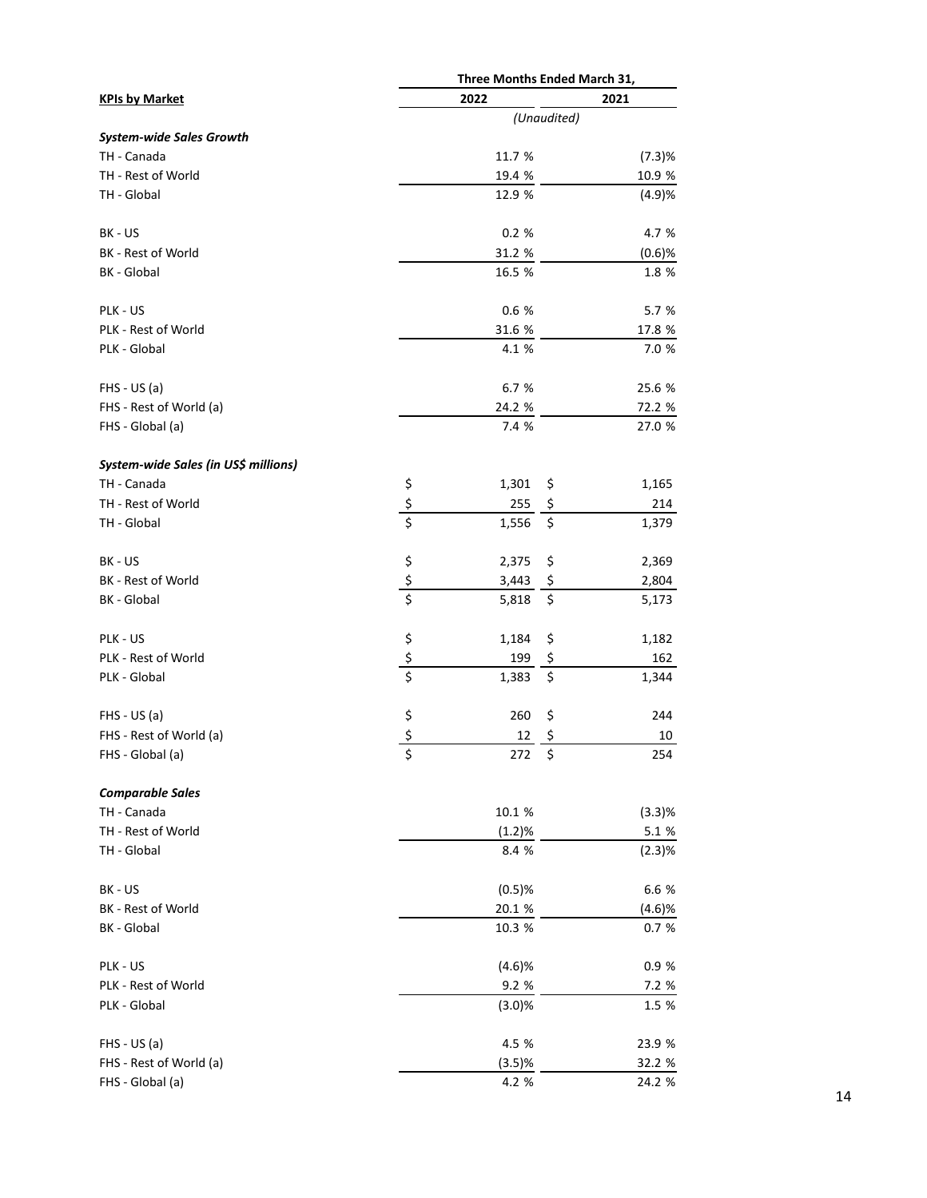| Three Months Ended March 31,         |               |             |        |
|--------------------------------------|---------------|-------------|--------|
| <b>KPIs by Market</b>                | 2022          |             | 2021   |
|                                      |               | (Unaudited) |        |
| <b>System-wide Sales Growth</b>      |               |             |        |
| TH - Canada                          |               | 11.7 %      | (7.3)% |
| TH - Rest of World                   |               | 19.4 %      | 10.9 % |
| TH - Global                          |               | 12.9 %      | (4.9)% |
| BK - US                              |               | 0.2%        | 4.7 %  |
| BK - Rest of World                   |               | 31.2 %      | (0.6)% |
| <b>BK</b> - Global                   |               | 16.5 %      | 1.8 %  |
| PLK - US                             |               | 0.6 %       | 5.7 %  |
| PLK - Rest of World                  |               | 31.6 %      | 17.8 % |
| PLK - Global                         |               | 4.1 %       | 7.0 %  |
| $FHS - US(a)$                        |               | 6.7 %       | 25.6 % |
| FHS - Rest of World (a)              |               | 24.2 %      | 72.2 % |
| FHS - Global (a)                     |               | 7.4 %       | 27.0 % |
| System-wide Sales (in US\$ millions) |               |             |        |
| TH - Canada                          |               | 1,301<br>\$ | 1,165  |
| TH - Rest of World                   | $\frac{5}{5}$ | 255<br>\$   | 214    |
| TH - Global                          |               | \$<br>1,556 | 1,379  |
| BK - US                              |               | 2,375<br>\$ | 2,369  |
| BK - Rest of World                   | $\frac{5}{5}$ | 3,443<br>\$ | 2,804  |
| <b>BK</b> - Global                   |               | \$<br>5,818 | 5,173  |
| PLK - US                             |               | 1,184<br>\$ | 1,182  |
| PLK - Rest of World                  | $\frac{5}{5}$ | 199<br>\$   | 162    |
| PLK - Global                         |               | \$<br>1,383 | 1,344  |
| $FHS - US(a)$                        | \$<br>\$      | 260<br>\$   | 244    |
| FHS - Rest of World (a)              |               | \$<br>12    | 10     |
| FHS - Global (a)                     | \$            | 272 \$      | 254    |
| <b>Comparable Sales</b>              |               |             |        |
| TH - Canada                          |               | 10.1 %      | (3.3)% |
| TH - Rest of World                   |               | (1.2)%      | 5.1 %  |
| TH - Global                          |               | 8.4 %       | (2.3)% |
| BK - US                              |               | (0.5)%      | 6.6 %  |
| BK - Rest of World                   |               | 20.1 %      | (4.6)% |
| BK - Global                          |               | 10.3 %      | 0.7%   |
| PLK - US                             |               | (4.6)%      | 0.9%   |
| PLK - Rest of World                  |               | 9.2 %       | 7.2 %  |
| PLK - Global                         |               | (3.0)%      | 1.5 %  |
| $FHS - US(a)$                        |               | 4.5 %       | 23.9 % |
| FHS - Rest of World (a)              |               | (3.5)%      | 32.2 % |
| FHS - Global (a)                     |               | 4.2 %       | 24.2 % |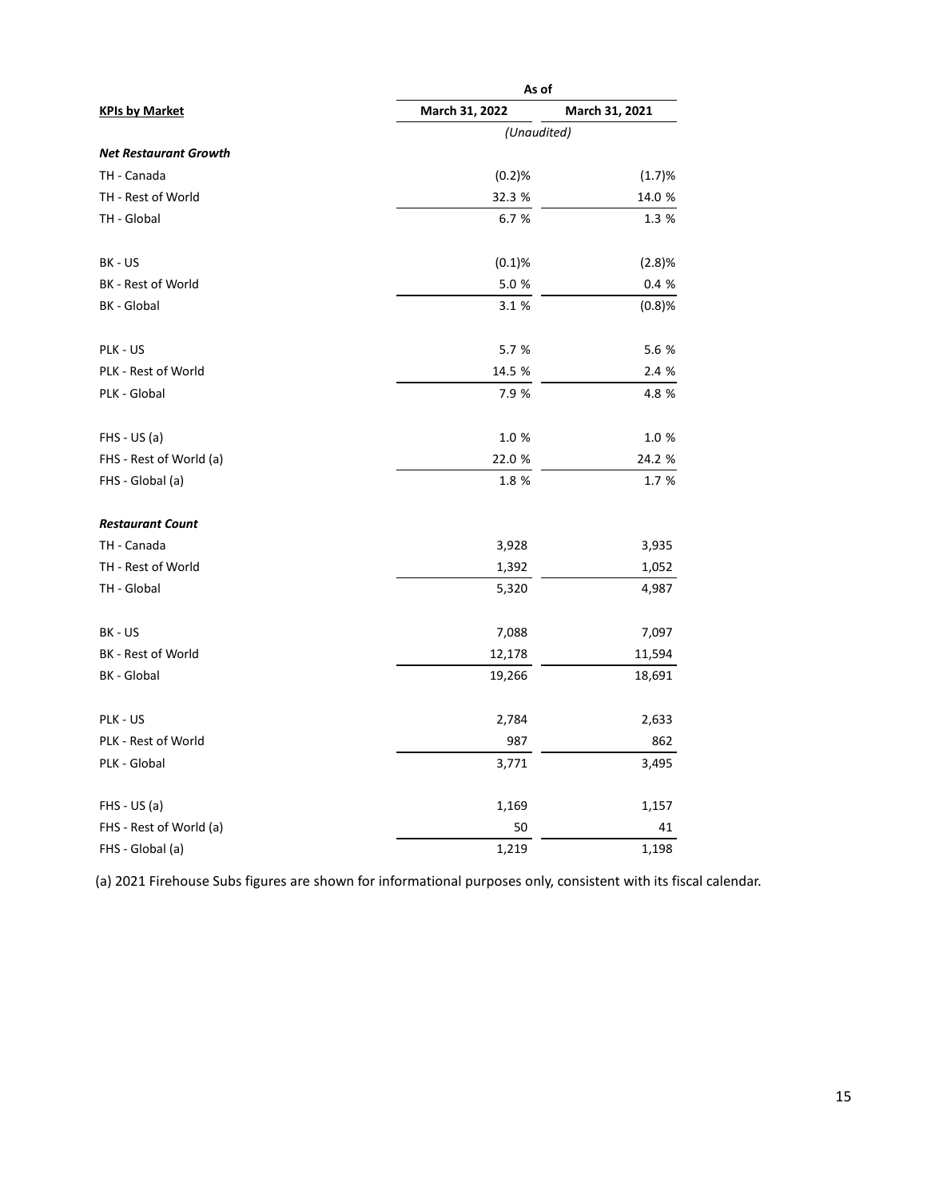|                              | As of          |                |  |  |
|------------------------------|----------------|----------------|--|--|
| <b>KPIs by Market</b>        | March 31, 2022 | March 31, 2021 |  |  |
|                              | (Unaudited)    |                |  |  |
| <b>Net Restaurant Growth</b> |                |                |  |  |
| TH - Canada                  | (0.2)%         | (1.7)%         |  |  |
| TH - Rest of World           | 32.3 %         | 14.0 %         |  |  |
| TH - Global                  | 6.7 %          | 1.3 %          |  |  |
| BK - US                      | (0.1)%         | (2.8)%         |  |  |
| BK - Rest of World           | 5.0%           | 0.4 %          |  |  |
| BK - Global                  | 3.1 %          | (0.8)%         |  |  |
| PLK - US                     | 5.7 %          | 5.6 %          |  |  |
| PLK - Rest of World          | 14.5 %         | 2.4 %          |  |  |
| PLK - Global                 | 7.9 %          | 4.8 %          |  |  |
| $FHS - US(a)$                | 1.0%           | 1.0%           |  |  |
| FHS - Rest of World (a)      | 22.0 %         | 24.2 %         |  |  |
| FHS - Global (a)             | 1.8 %          | 1.7 %          |  |  |
| <b>Restaurant Count</b>      |                |                |  |  |
| TH - Canada                  | 3,928          | 3,935          |  |  |
| TH - Rest of World           | 1,392          | 1,052          |  |  |
| TH - Global                  | 5,320          | 4,987          |  |  |
| BK - US                      | 7,088          | 7,097          |  |  |
| BK - Rest of World           | 12,178         | 11,594         |  |  |
| <b>BK</b> - Global           | 19,266         | 18,691         |  |  |
| PLK - US                     | 2,784          | 2,633          |  |  |
| PLK - Rest of World          | 987            | 862            |  |  |
| PLK - Global                 | 3,771          | 3,495          |  |  |
| $FHS - US(a)$                | 1,169          | 1,157          |  |  |
| FHS - Rest of World (a)      | 50             | 41             |  |  |
| FHS - Global (a)             | 1,219          | 1,198          |  |  |

(a) 2021 Firehouse Subs figures are shown for informational purposes only, consistent with its fiscal calendar.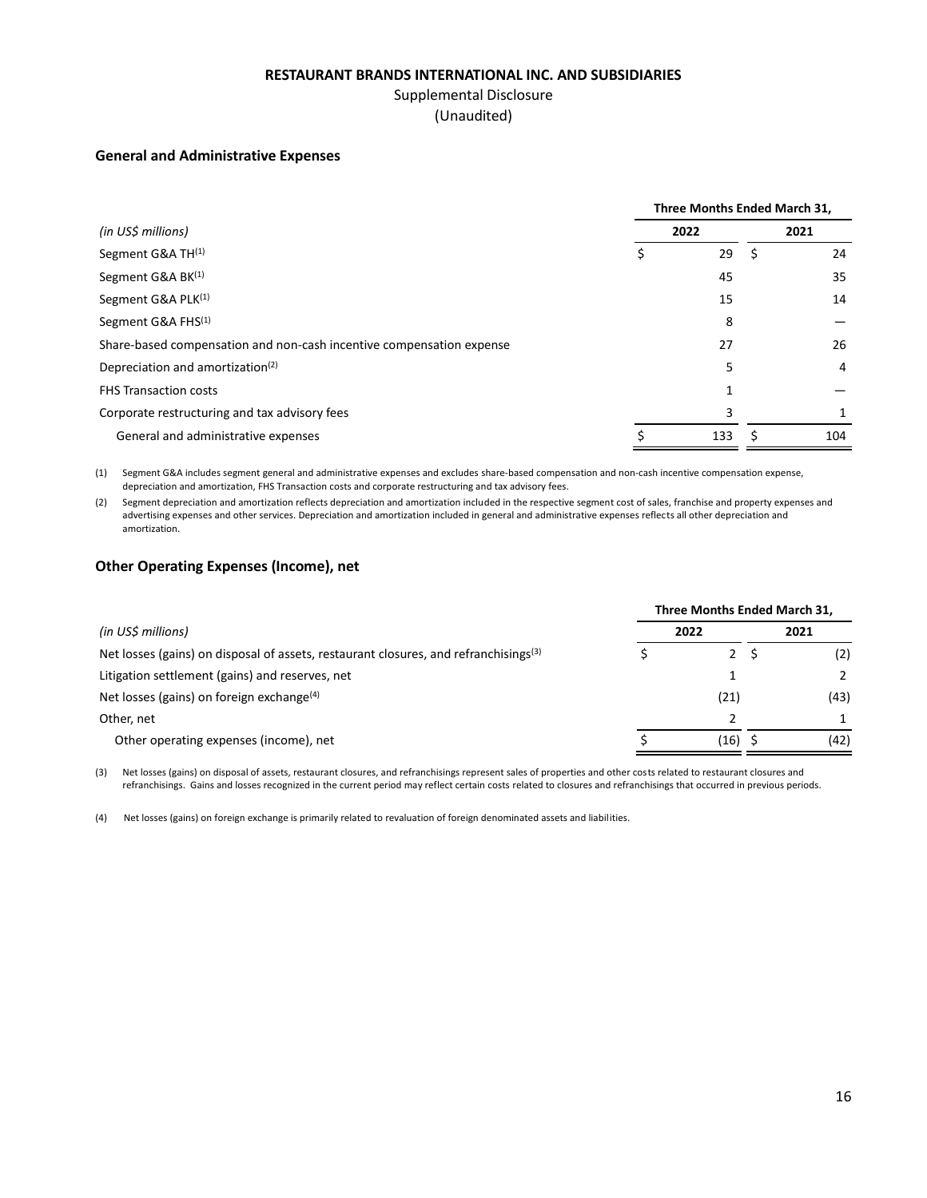## Supplemental Disclosure

(Unaudited)

#### **General and Administrative Expenses**

|                                                                      | Three Months Ended March 31, |  |      |
|----------------------------------------------------------------------|------------------------------|--|------|
| (in US\$ millions)                                                   | 2022                         |  | 2021 |
| Segment G&A TH <sup>(1)</sup>                                        | 29                           |  | 24   |
| Segment G&A BK(1)                                                    | 45                           |  | 35   |
| Segment G&A PLK(1)                                                   | 15                           |  | 14   |
| Segment G&A FHS <sup>(1)</sup>                                       | 8                            |  |      |
| Share-based compensation and non-cash incentive compensation expense | 27                           |  | 26   |
| Depreciation and amortization <sup>(2)</sup>                         | 5                            |  | 4    |
| <b>FHS Transaction costs</b>                                         | 1                            |  |      |
| Corporate restructuring and tax advisory fees                        | 3                            |  |      |
| General and administrative expenses                                  | 133                          |  | 104  |

(1) Segment G&A includes segment general and administrative expenses and excludes share-based compensation and non-cash incentive compensation expense, depreciation and amortization, FHS Transaction costs and corporate restructuring and tax advisory fees.

(2) Segment depreciation and amortization reflects depreciation and amortization included in the respective segment cost of sales, franchise and property expenses and advertising expenses and other services. Depreciation and amortization included in general and administrative expenses reflects all other depreciation and amortization.

## **Other Operating Expenses (Income), net**

|                                                                                                  | Three Months Ended March 31, |             |  |      |  |  |  |  |  |
|--------------------------------------------------------------------------------------------------|------------------------------|-------------|--|------|--|--|--|--|--|
| (in US\$ millions)                                                                               |                              | 2022        |  | 2021 |  |  |  |  |  |
| Net losses (gains) on disposal of assets, restaurant closures, and refranchisings <sup>(3)</sup> |                              | $2^{\circ}$ |  | (2)  |  |  |  |  |  |
| Litigation settlement (gains) and reserves, net                                                  |                              |             |  |      |  |  |  |  |  |
| Net losses (gains) on foreign exchange <sup>(4)</sup>                                            |                              | (21)        |  | (43) |  |  |  |  |  |
| Other, net                                                                                       |                              |             |  |      |  |  |  |  |  |
| Other operating expenses (income), net                                                           |                              | (16)        |  | (42) |  |  |  |  |  |

(3) Net losses (gains) on disposal of assets, restaurant closures, and refranchisings represent sales of properties and other costs related to restaurant closures and refranchisings. Gains and losses recognized in the current period may reflect certain costs related to closures and refranchisings that occurred in previous periods.

(4) Net losses (gains) on foreign exchange is primarily related to revaluation of foreign denominated assets and liabilities.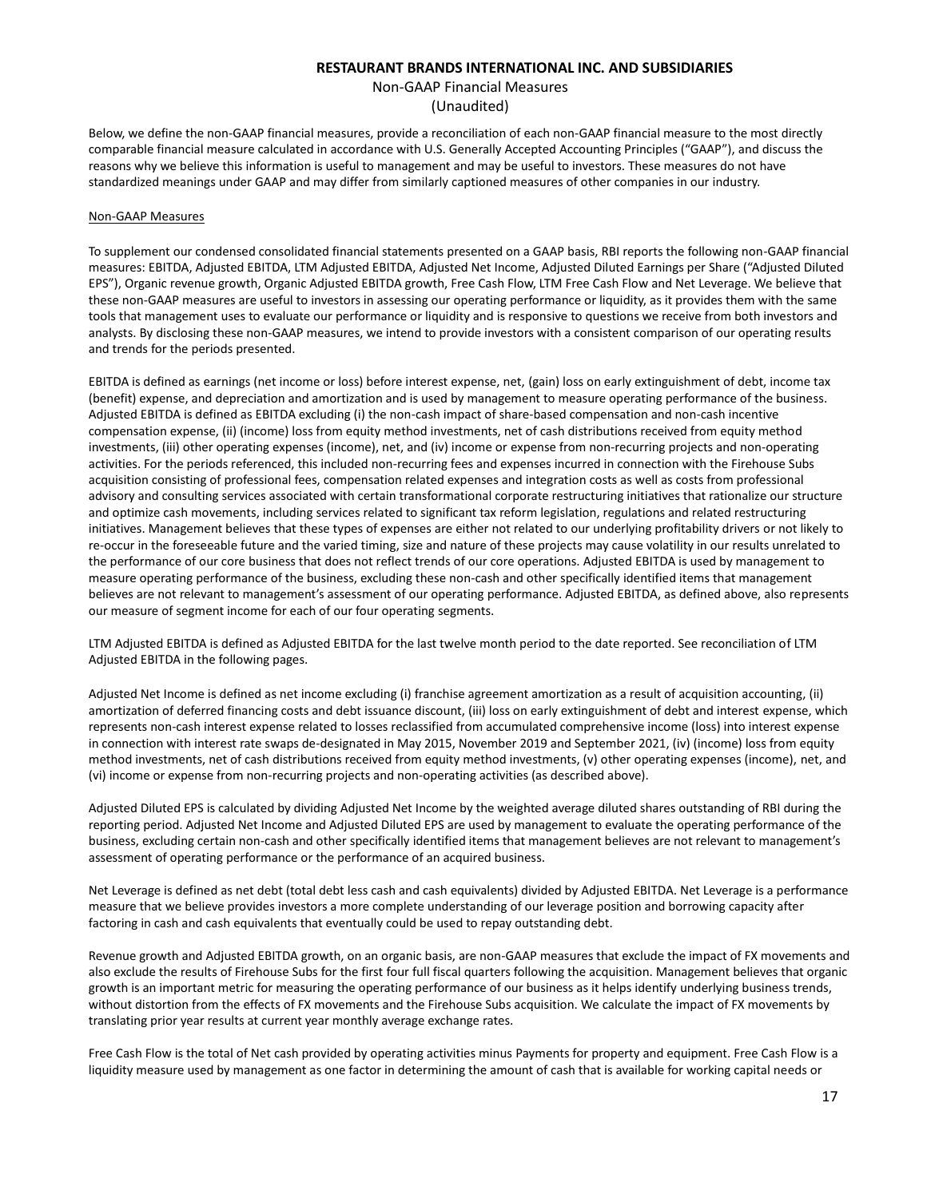## Non-GAAP Financial Measures (Unaudited)

Below, we define the non-GAAP financial measures, provide a reconciliation of each non-GAAP financial measure to the most directly comparable financial measure calculated in accordance with U.S. Generally Accepted Accounting Principles ("GAAP"), and discuss the reasons why we believe this information is useful to management and may be useful to investors. These measures do not have standardized meanings under GAAP and may differ from similarly captioned measures of other companies in our industry.

#### Non-GAAP Measures

To supplement our condensed consolidated financial statements presented on a GAAP basis, RBI reports the following non-GAAP financial measures: EBITDA, Adjusted EBITDA, LTM Adjusted EBITDA, Adjusted Net Income, Adjusted Diluted Earnings per Share ("Adjusted Diluted EPS"), Organic revenue growth, Organic Adjusted EBITDA growth, Free Cash Flow, LTM Free Cash Flow and Net Leverage. We believe that these non-GAAP measures are useful to investors in assessing our operating performance or liquidity, as it provides them with the same tools that management uses to evaluate our performance or liquidity and is responsive to questions we receive from both investors and analysts. By disclosing these non-GAAP measures, we intend to provide investors with a consistent comparison of our operating results and trends for the periods presented.

EBITDA is defined as earnings (net income or loss) before interest expense, net, (gain) loss on early extinguishment of debt, income tax (benefit) expense, and depreciation and amortization and is used by management to measure operating performance of the business. Adjusted EBITDA is defined as EBITDA excluding (i) the non-cash impact of share-based compensation and non-cash incentive compensation expense, (ii) (income) loss from equity method investments, net of cash distributions received from equity method investments, (iii) other operating expenses (income), net, and (iv) income or expense from non-recurring projects and non-operating activities. For the periods referenced, this included non-recurring fees and expenses incurred in connection with the Firehouse Subs acquisition consisting of professional fees, compensation related expenses and integration costs as well as costs from professional advisory and consulting services associated with certain transformational corporate restructuring initiatives that rationalize our structure and optimize cash movements, including services related to significant tax reform legislation, regulations and related restructuring initiatives. Management believes that these types of expenses are either not related to our underlying profitability drivers or not likely to re-occur in the foreseeable future and the varied timing, size and nature of these projects may cause volatility in our results unrelated to the performance of our core business that does not reflect trends of our core operations. Adjusted EBITDA is used by management to measure operating performance of the business, excluding these non-cash and other specifically identified items that management believes are not relevant to management's assessment of our operating performance. Adjusted EBITDA, as defined above, also represents our measure of segment income for each of our four operating segments.

LTM Adjusted EBITDA is defined as Adjusted EBITDA for the last twelve month period to the date reported. See reconciliation of LTM Adjusted EBITDA in the following pages.

Adjusted Net Income is defined as net income excluding (i) franchise agreement amortization as a result of acquisition accounting, (ii) amortization of deferred financing costs and debt issuance discount, (iii) loss on early extinguishment of debt and interest expense, which represents non-cash interest expense related to losses reclassified from accumulated comprehensive income (loss) into interest expense in connection with interest rate swaps de-designated in May 2015, November 2019 and September 2021, (iv) (income) loss from equity method investments, net of cash distributions received from equity method investments, (v) other operating expenses (income), net, and (vi) income or expense from non-recurring projects and non-operating activities (as described above).

Adjusted Diluted EPS is calculated by dividing Adjusted Net Income by the weighted average diluted shares outstanding of RBI during the reporting period. Adjusted Net Income and Adjusted Diluted EPS are used by management to evaluate the operating performance of the business, excluding certain non-cash and other specifically identified items that management believes are not relevant to management's assessment of operating performance or the performance of an acquired business.

Net Leverage is defined as net debt (total debt less cash and cash equivalents) divided by Adjusted EBITDA. Net Leverage is a performance measure that we believe provides investors a more complete understanding of our leverage position and borrowing capacity after factoring in cash and cash equivalents that eventually could be used to repay outstanding debt.

Revenue growth and Adjusted EBITDA growth, on an organic basis, are non-GAAP measures that exclude the impact of FX movements and also exclude the results of Firehouse Subs for the first four full fiscal quarters following the acquisition. Management believes that organic growth is an important metric for measuring the operating performance of our business as it helps identify underlying business trends, without distortion from the effects of FX movements and the Firehouse Subs acquisition. We calculate the impact of FX movements by translating prior year results at current year monthly average exchange rates.

Free Cash Flow is the total of Net cash provided by operating activities minus Payments for property and equipment. Free Cash Flow is a liquidity measure used by management as one factor in determining the amount of cash that is available for working capital needs or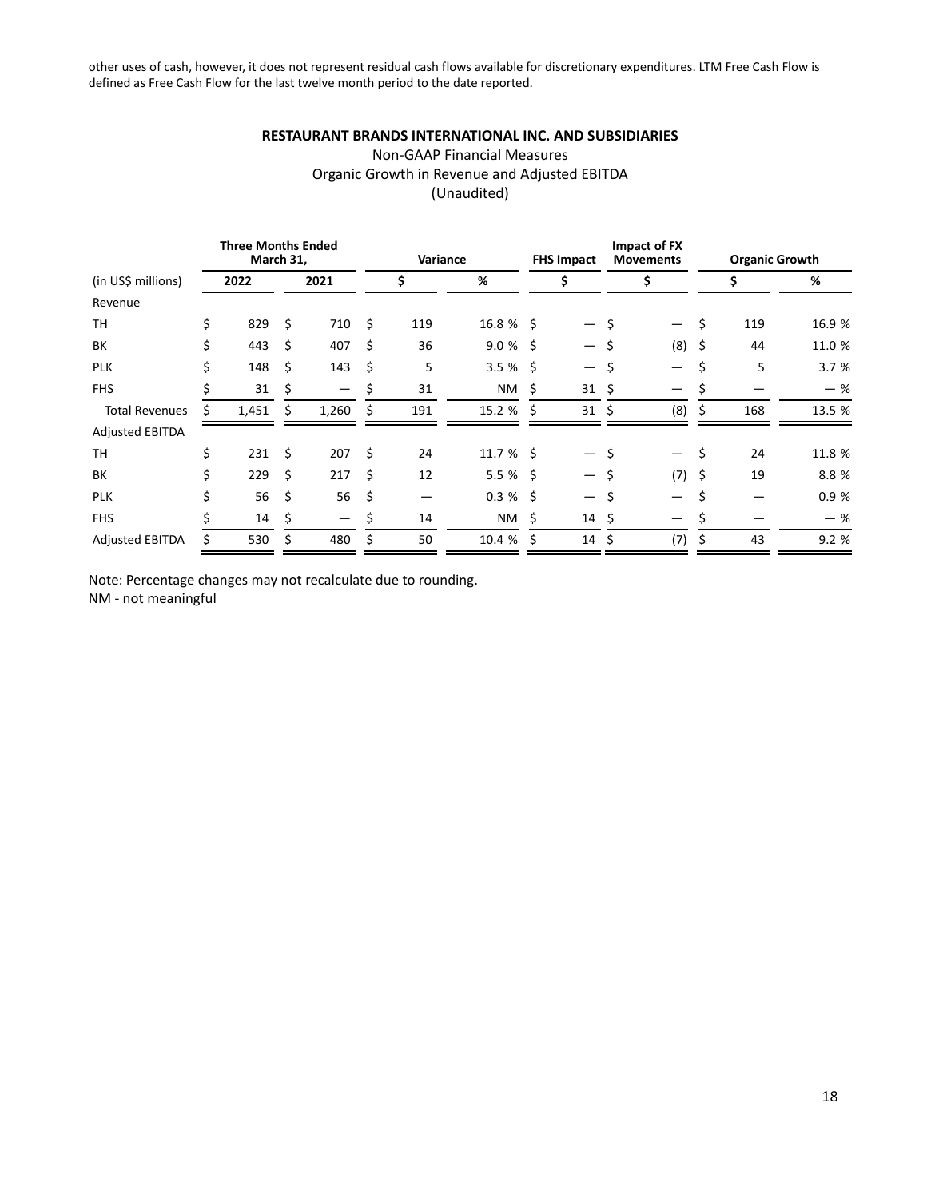other uses of cash, however, it does not represent residual cash flows available for discretionary expenditures. LTM Free Cash Flow is defined as Free Cash Flow for the last twelve month period to the date reported.

## **RESTAURANT BRANDS INTERNATIONAL INC. AND SUBSIDIARIES**

## Non-GAAP Financial Measures Organic Growth in Revenue and Adjusted EBITDA (Unaudited)

| <b>Three Months Ended</b><br>March 31, |    |       |    |                                 |    | Variance |              | <b>FHS Impact</b> |                          | Impact of FX<br><b>Movements</b> | <b>Organic Growth</b>    |    |     |        |
|----------------------------------------|----|-------|----|---------------------------------|----|----------|--------------|-------------------|--------------------------|----------------------------------|--------------------------|----|-----|--------|
| (in US\$ millions)                     |    | 2022  |    | 2021                            |    | \$       | %            |                   | \$                       |                                  | \$                       |    |     | %      |
| Revenue                                |    |       |    |                                 |    |          |              |                   |                          |                                  |                          |    |     |        |
| <b>TH</b>                              | \$ | 829   | \$ | 710                             | \$ | 119      | $16.8 \%$ \$ |                   | $\overline{\phantom{0}}$ | S,                               | $\overline{\phantom{0}}$ | \$ | 119 | 16.9 % |
| BК                                     | Ś  | 443   | Ś. | 407                             | Ś. | 36       | $9.0%$ \$    |                   | $\overline{\phantom{0}}$ | Ś                                | $(8)$ \$                 |    | 44  | 11.0 % |
| <b>PLK</b>                             | Ś. | 148   | Ś  | 143                             | \$ | 5        | $3.5%$ \$    |                   | $\overline{\phantom{0}}$ | \$                               |                          | \$ | 5   | 3.7 %  |
| <b>FHS</b>                             | Ś. | 31    | \$ | $\hspace{0.1mm}-\hspace{0.1mm}$ | \$ | 31       | NM           | Ŝ.                | 31                       | \$                               | —                        | \$ |     | $-$ %  |
| <b>Total Revenues</b>                  |    | 1,451 | Ś  | 1,260                           | Ś  | 191      | $15.2 \%$ \$ |                   | $31 \;$ \$               |                                  | (8)                      | Ś. | 168 | 13.5 % |
| <b>Adjusted EBITDA</b>                 |    |       |    |                                 |    |          |              |                   |                          |                                  |                          |    |     |        |
| TН                                     | \$ | 231   | \$ | 207                             | \$ | 24       | $11.7%$ \$   |                   | $\overline{\phantom{0}}$ | \$                               | $\overline{\phantom{0}}$ | \$ | 24  | 11.8 % |
| BК                                     | \$ | 229   | Ś. | 217                             | Ś. | 12       | $5.5%$ \$    |                   | $-$                      | Š.                               | $(7)$ \$                 |    | 19  | 8.8%   |
| <b>PLK</b>                             | Ś. | 56    | Ś  | 56                              | \$ |          | $0.3 \%$ \$  |                   | $\overline{\phantom{0}}$ | Ŝ.                               |                          | \$ |     | 0.9%   |
| <b>FHS</b>                             |    | 14    | \$ | $\overline{\phantom{m}}$        | \$ | 14       | NM           | - \$              | $14 \; \S$               |                                  |                          | \$ |     | $-$ %  |
| <b>Adjusted EBITDA</b>                 | Ś  | 530   | Ś  | 480                             | \$ | 50       | 10.4 %       | -Ś                | $14 \; \xi$              |                                  | (7)                      | \$ | 43  | 9.2 %  |

Note: Percentage changes may not recalculate due to rounding. NM - not meaningful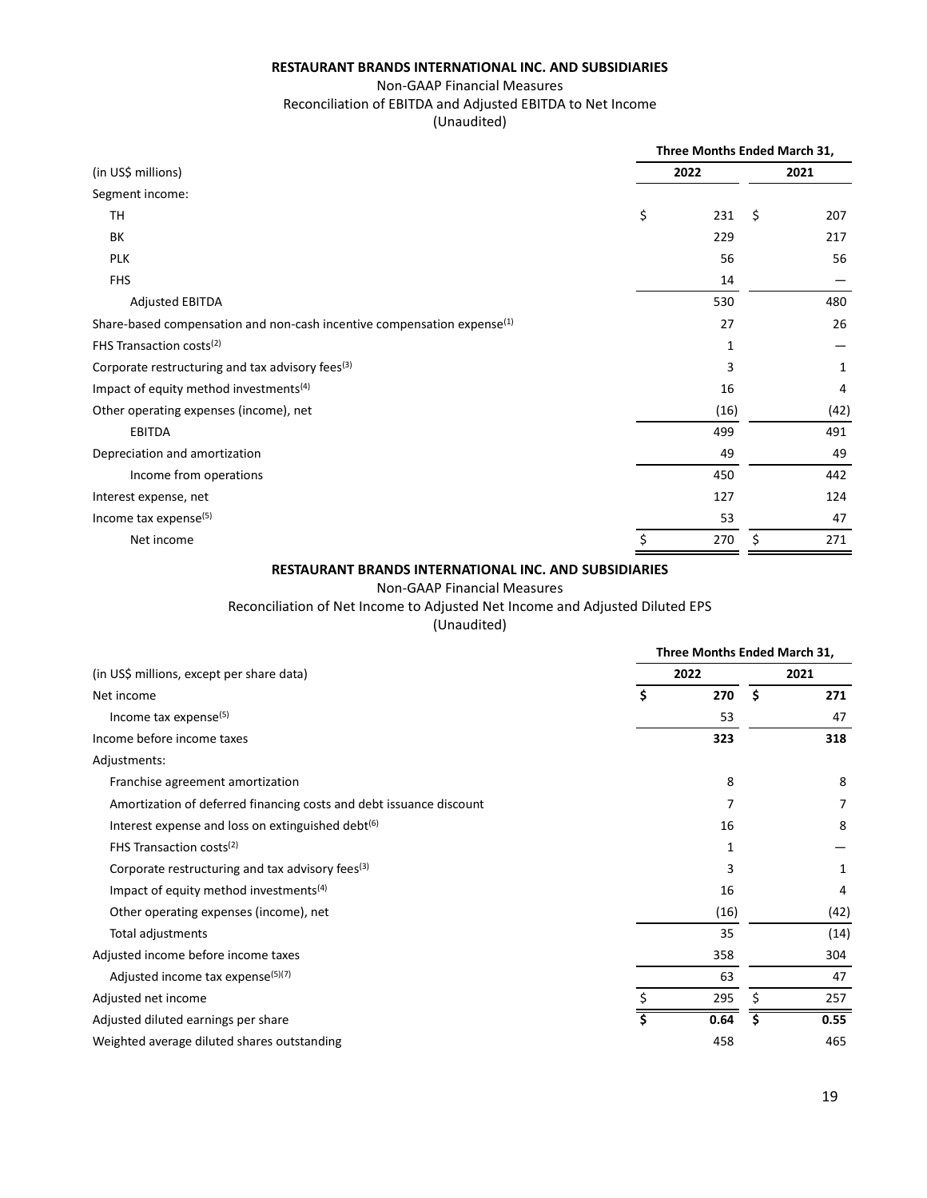## Non-GAAP Financial Measures

## Reconciliation of EBITDA and Adjusted EBITDA to Net Income

(Unaudited)

|                                                                            | Three Months Ended March 31, |      |      |      |  |  |  |  |
|----------------------------------------------------------------------------|------------------------------|------|------|------|--|--|--|--|
| (in US\$ millions)                                                         |                              | 2022 | 2021 |      |  |  |  |  |
| Segment income:                                                            |                              |      |      |      |  |  |  |  |
| TH                                                                         | \$                           | 231  | \$   | 207  |  |  |  |  |
| BК                                                                         |                              | 229  |      | 217  |  |  |  |  |
| <b>PLK</b>                                                                 |                              | 56   |      | 56   |  |  |  |  |
| <b>FHS</b>                                                                 |                              | 14   |      |      |  |  |  |  |
| <b>Adjusted EBITDA</b>                                                     |                              | 530  |      | 480  |  |  |  |  |
| Share-based compensation and non-cash incentive compensation expense $(1)$ |                              | 27   |      | 26   |  |  |  |  |
| FHS Transaction costs <sup>(2)</sup>                                       |                              | 1    |      |      |  |  |  |  |
| Corporate restructuring and tax advisory fees $(3)$                        |                              | 3    |      | 1    |  |  |  |  |
| Impact of equity method investments <sup>(4)</sup>                         |                              | 16   |      | 4    |  |  |  |  |
| Other operating expenses (income), net                                     |                              | (16) |      | (42) |  |  |  |  |
| <b>EBITDA</b>                                                              |                              | 499  |      | 491  |  |  |  |  |
| Depreciation and amortization                                              |                              | 49   |      | 49   |  |  |  |  |
| Income from operations                                                     |                              | 450  |      | 442  |  |  |  |  |
| Interest expense, net                                                      |                              | 127  |      | 124  |  |  |  |  |
| Income tax expense <sup>(5)</sup>                                          |                              | 53   |      | 47   |  |  |  |  |
| Net income                                                                 | \$                           | 270  | \$   | 271  |  |  |  |  |

## **RESTAURANT BRANDS INTERNATIONAL INC. AND SUBSIDIARIES**

#### Non-GAAP Financial Measures

Reconciliation of Net Income to Adjusted Net Income and Adjusted Diluted EPS

|                                                                     | Three Months Ended March 31, |      |    |      |  |  |  |  |
|---------------------------------------------------------------------|------------------------------|------|----|------|--|--|--|--|
| (in US\$ millions, except per share data)                           |                              | 2022 |    | 2021 |  |  |  |  |
| Net income                                                          | \$                           | 270  | \$ | 271  |  |  |  |  |
| Income tax expense <sup>(5)</sup>                                   |                              | 53   |    | 47   |  |  |  |  |
| Income before income taxes                                          |                              | 323  |    | 318  |  |  |  |  |
| Adjustments:                                                        |                              |      |    |      |  |  |  |  |
| Franchise agreement amortization                                    |                              | 8    |    | 8    |  |  |  |  |
| Amortization of deferred financing costs and debt issuance discount |                              |      |    | 7    |  |  |  |  |
| Interest expense and loss on extinguished debt <sup>(6)</sup>       |                              | 16   |    | 8    |  |  |  |  |
| FHS Transaction costs <sup>(2)</sup>                                |                              | 1    |    |      |  |  |  |  |
| Corporate restructuring and tax advisory fees <sup>(3)</sup>        |                              | 3    |    | 1    |  |  |  |  |
| Impact of equity method investments <sup>(4)</sup>                  |                              | 16   |    | 4    |  |  |  |  |
| Other operating expenses (income), net                              |                              | (16) |    | (42) |  |  |  |  |
| Total adjustments                                                   |                              | 35   |    | (14) |  |  |  |  |
| Adjusted income before income taxes                                 |                              | 358  |    | 304  |  |  |  |  |
| Adjusted income tax expense <sup>(5)(7)</sup>                       |                              | 63   |    | 47   |  |  |  |  |
| Adjusted net income                                                 |                              | 295  | \$ | 257  |  |  |  |  |
| Adjusted diluted earnings per share                                 | Ś                            | 0.64 | Ś  | 0.55 |  |  |  |  |
| Weighted average diluted shares outstanding                         |                              | 458  |    | 465  |  |  |  |  |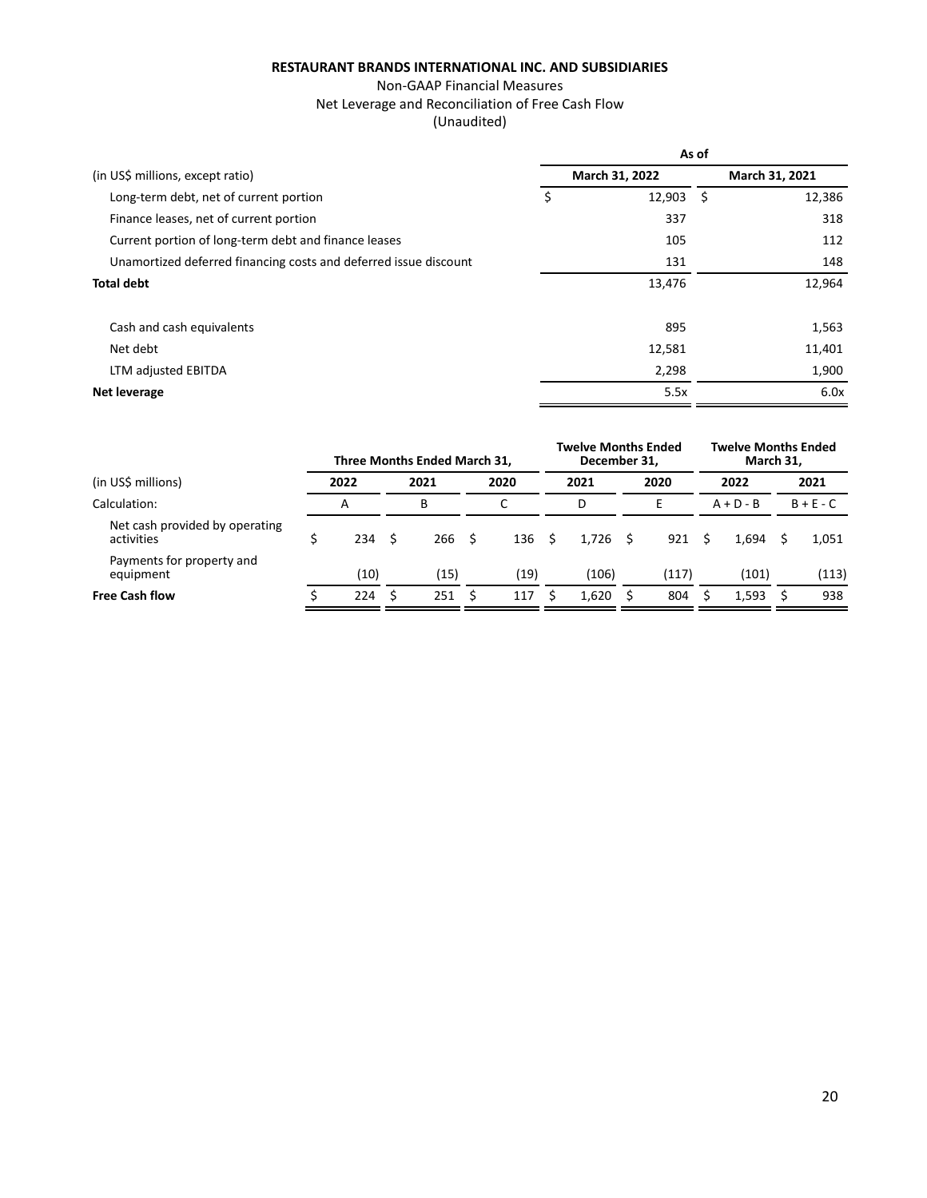## Non-GAAP Financial Measures Net Leverage and Reconciliation of Free Cash Flow (Unaudited)

|                                                                  | As of |                  |  |                |  |  |  |  |
|------------------------------------------------------------------|-------|------------------|--|----------------|--|--|--|--|
| (in US\$ millions, except ratio)                                 |       | March 31, 2022   |  | March 31, 2021 |  |  |  |  |
| Long-term debt, net of current portion                           | \$    | $12,903 \quad $$ |  | 12,386         |  |  |  |  |
| Finance leases, net of current portion                           |       | 337              |  | 318            |  |  |  |  |
| Current portion of long-term debt and finance leases             |       | 105              |  | 112            |  |  |  |  |
| Unamortized deferred financing costs and deferred issue discount |       | 131              |  | 148            |  |  |  |  |
| <b>Total debt</b>                                                |       | 13,476           |  | 12,964         |  |  |  |  |
|                                                                  |       |                  |  |                |  |  |  |  |
| Cash and cash equivalents                                        |       | 895              |  | 1,563          |  |  |  |  |
| Net debt                                                         |       | 12,581           |  | 11,401         |  |  |  |  |
| LTM adjusted EBITDA                                              |       | 2,298            |  | 1,900          |  |  |  |  |
| Net leverage                                                     |       | 5.5x             |  | 6.0x           |  |  |  |  |

|                                              |      |      | Three Months Ended March 31, |     |      |     | <b>Twelve Months Ended</b><br>December 31. |   |       | <b>Twelve Months Ended</b><br>March 31. |             |      |             |  |
|----------------------------------------------|------|------|------------------------------|-----|------|-----|--------------------------------------------|---|-------|-----------------------------------------|-------------|------|-------------|--|
| (in US\$ millions)                           | 2022 |      | 2021                         |     | 2020 |     | 2021                                       |   | 2020  |                                         | 2022        | 2021 |             |  |
| Calculation:                                 | А    |      | B                            |     |      |     | D                                          |   | E     |                                         | $A + D - B$ |      | $B + E - C$ |  |
| Net cash provided by operating<br>activities | 234  | - \$ | 266                          | - Ś | 136  | - S | 1.726                                      | S | 921   | S                                       | 1.694       |      | 1,051       |  |
| Payments for property and<br>equipment       | (10) |      | (15)                         |     | (19) |     | (106)                                      |   | (117) |                                         | (101)       |      | (113)       |  |
| <b>Free Cash flow</b>                        | 224  |      | 251                          |     | 117  |     | 1,620                                      |   | 804   |                                         | 1,593       |      | 938         |  |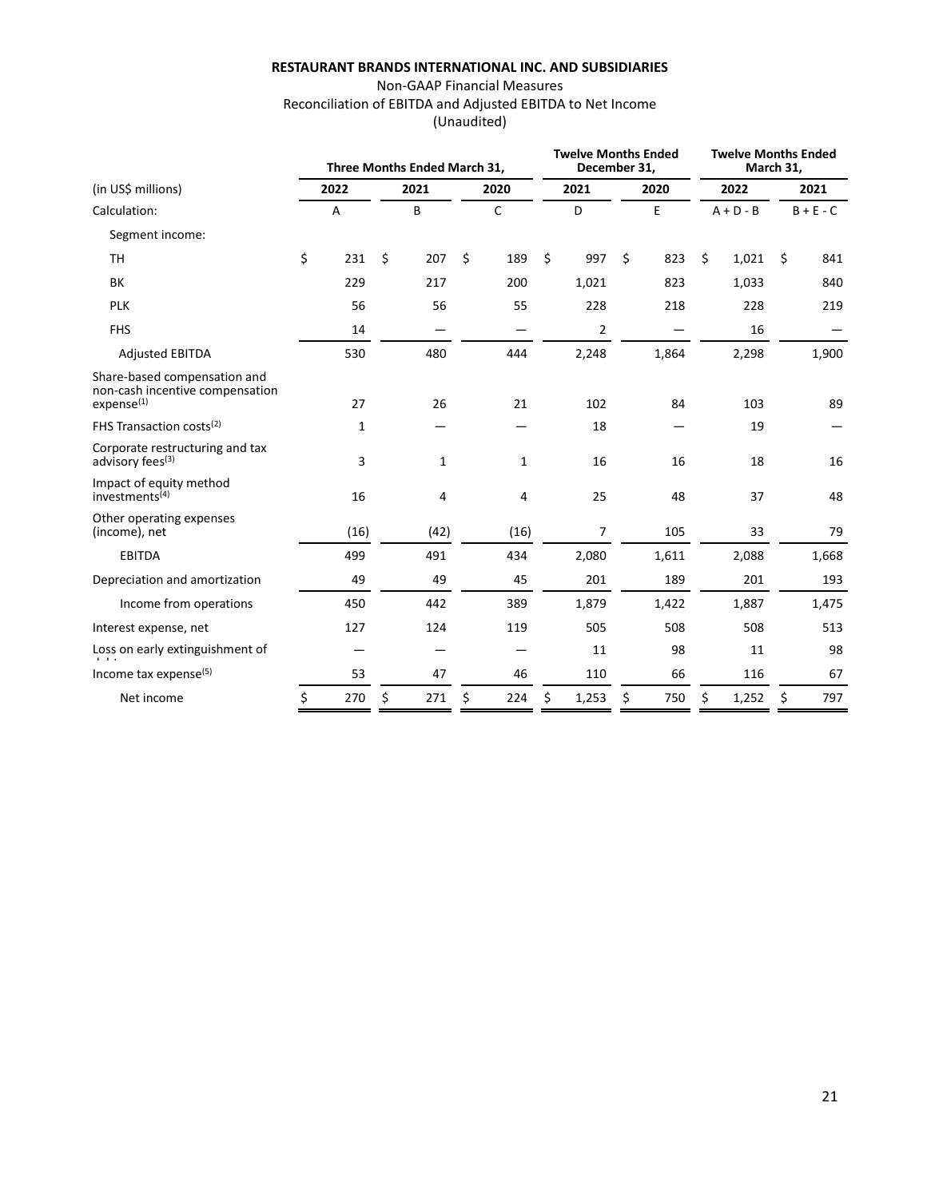## Non-GAAP Financial Measures Reconciliation of EBITDA and Adjusted EBITDA to Net Income (Unaudited)

|                                                                                           |    |      | Three Months Ended March 31, |    |              |    | <b>Twelve Months Ended</b><br>December 31, |    |       | <b>Twelve Months Ended</b><br>March 31, |       |                     |       |
|-------------------------------------------------------------------------------------------|----|------|------------------------------|----|--------------|----|--------------------------------------------|----|-------|-----------------------------------------|-------|---------------------|-------|
| (in US\$ millions)                                                                        |    | 2022 | 2021                         |    | 2020         |    | 2021                                       |    | 2020  |                                         | 2022  | 2021<br>$B + E - C$ |       |
| Calculation:                                                                              | A  |      | B                            | C  |              |    | D                                          | E  |       | $A + D - B$                             |       |                     |       |
| Segment income:                                                                           |    |      |                              |    |              |    |                                            |    |       |                                         |       |                     |       |
| <b>TH</b>                                                                                 | \$ | 231  | \$<br>207                    | \$ | 189          | \$ | 997                                        | \$ | 823   | \$                                      | 1,021 | \$                  | 841   |
| BK                                                                                        |    | 229  | 217                          |    | 200          |    | 1,021                                      |    | 823   |                                         | 1,033 |                     | 840   |
| <b>PLK</b>                                                                                |    | 56   | 56                           |    | 55           |    | 228                                        |    | 218   |                                         | 228   |                     | 219   |
| <b>FHS</b>                                                                                |    | 14   |                              |    |              |    | $\overline{2}$                             |    |       |                                         | 16    |                     |       |
| <b>Adjusted EBITDA</b>                                                                    |    | 530  | 480                          |    | 444          |    | 2,248                                      |    | 1,864 |                                         | 2,298 |                     | 1,900 |
| Share-based compensation and<br>non-cash incentive compensation<br>expense <sup>(1)</sup> |    | 27   | 26                           |    | 21           |    | 102                                        |    | 84    |                                         | 103   |                     | 89    |
| FHS Transaction costs <sup>(2)</sup>                                                      |    | 1    |                              |    |              |    | 18                                         |    |       |                                         | 19    |                     |       |
| Corporate restructuring and tax<br>advisory fees <sup>(3)</sup>                           |    | 3    | 1                            |    | $\mathbf{1}$ |    | 16                                         |    | 16    |                                         | 18    |                     | 16    |
| Impact of equity method<br>investments <sup>(4)</sup>                                     |    | 16   | 4                            |    | 4            |    | 25                                         |    | 48    |                                         | 37    |                     | 48    |
| Other operating expenses<br>(income), net                                                 |    | (16) | (42)                         |    | (16)         |    | 7                                          |    | 105   |                                         | 33    |                     | 79    |
| <b>EBITDA</b>                                                                             |    | 499  | 491                          |    | 434          |    | 2,080                                      |    | 1,611 |                                         | 2,088 |                     | 1,668 |
| Depreciation and amortization                                                             |    | 49   | 49                           |    | 45           |    | 201                                        |    | 189   |                                         | 201   |                     | 193   |
| Income from operations                                                                    |    | 450  | 442                          |    | 389          |    | 1,879                                      |    | 1,422 |                                         | 1,887 |                     | 1,475 |
| Interest expense, net                                                                     |    | 127  | 124                          |    | 119          |    | 505                                        |    | 508   |                                         | 508   |                     | 513   |
| Loss on early extinguishment of                                                           |    |      |                              |    |              |    | 11                                         |    | 98    |                                         | 11    |                     | 98    |
| Income tax expense <sup>(5)</sup>                                                         |    | 53   | 47                           |    | 46           |    | 110                                        |    | 66    |                                         | 116   |                     | 67    |
| Net income                                                                                | \$ | 270  | \$<br>271                    | Ś. | 224          | Ś. | 1,253                                      | \$ | 750   | \$                                      | 1,252 | \$                  | 797   |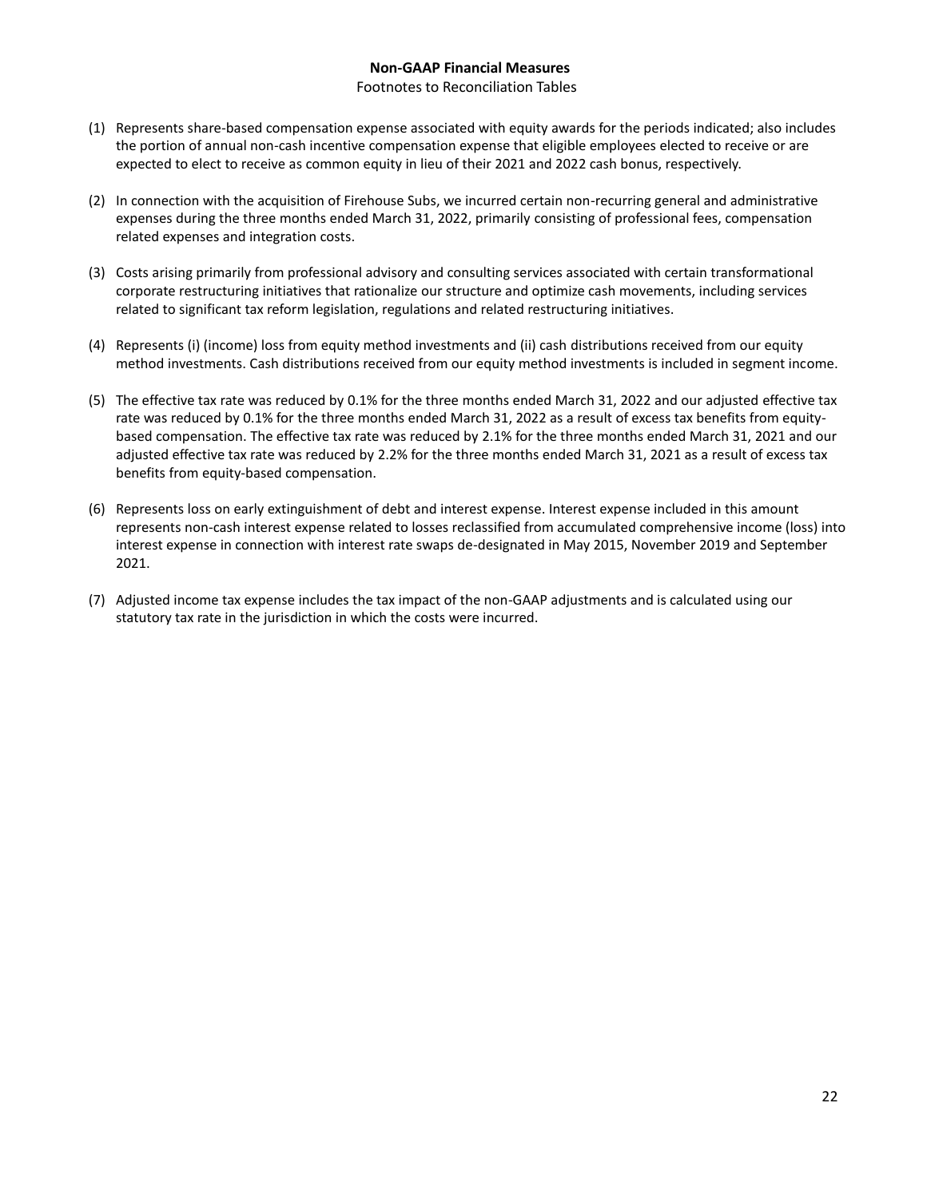## **Non-GAAP Financial Measures**

#### Footnotes to Reconciliation Tables

- (1) Represents share-based compensation expense associated with equity awards for the periods indicated; also includes the portion of annual non-cash incentive compensation expense that eligible employees elected to receive or are expected to elect to receive as common equity in lieu of their 2021 and 2022 cash bonus, respectively.
- (2) In connection with the acquisition of Firehouse Subs, we incurred certain non-recurring general and administrative expenses during the three months ended March 31, 2022, primarily consisting of professional fees, compensation related expenses and integration costs.
- (3) Costs arising primarily from professional advisory and consulting services associated with certain transformational corporate restructuring initiatives that rationalize our structure and optimize cash movements, including services related to significant tax reform legislation, regulations and related restructuring initiatives.
- (4) Represents (i) (income) loss from equity method investments and (ii) cash distributions received from our equity method investments. Cash distributions received from our equity method investments is included in segment income.
- (5) The effective tax rate was reduced by 0.1% for the three months ended March 31, 2022 and our adjusted effective tax rate was reduced by 0.1% for the three months ended March 31, 2022 as a result of excess tax benefits from equitybased compensation. The effective tax rate was reduced by 2.1% for the three months ended March 31, 2021 and our adjusted effective tax rate was reduced by 2.2% for the three months ended March 31, 2021 as a result of excess tax benefits from equity-based compensation.
- (6) Represents loss on early extinguishment of debt and interest expense. Interest expense included in this amount represents non-cash interest expense related to losses reclassified from accumulated comprehensive income (loss) into interest expense in connection with interest rate swaps de-designated in May 2015, November 2019 and September 2021.
- (7) Adjusted income tax expense includes the tax impact of the non-GAAP adjustments and is calculated using our statutory tax rate in the jurisdiction in which the costs were incurred.